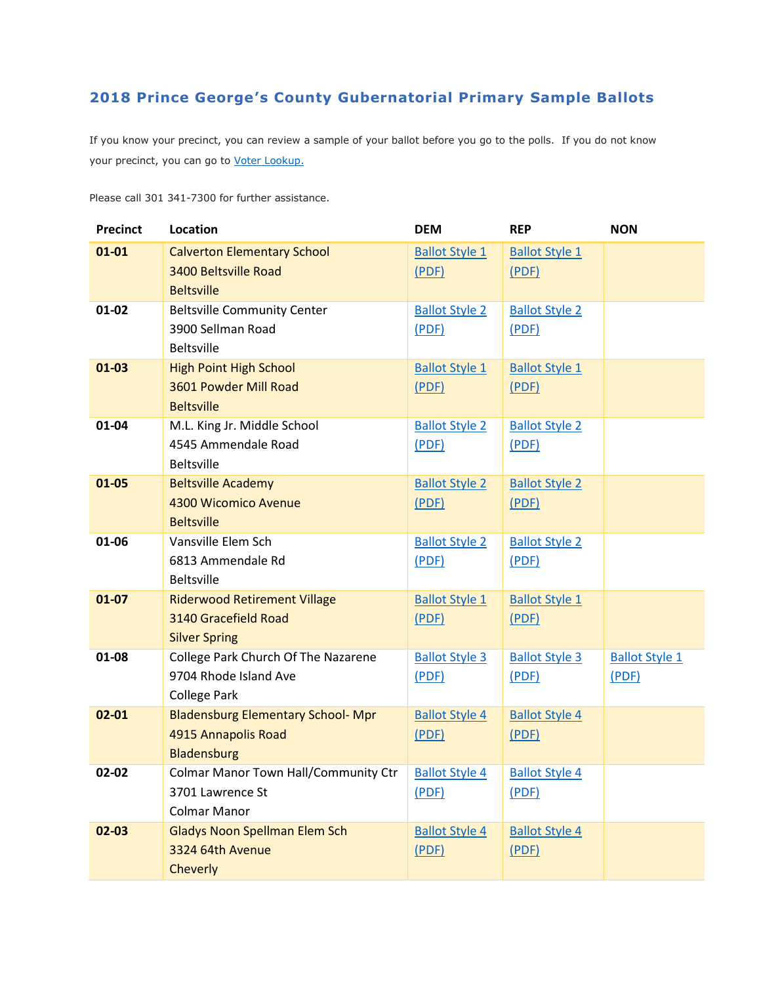## **2018 Prince George's County Gubernatorial Primary Sample Ballots**

If you know your precinct, you can review a sample of your ballot before you go to the polls. If you do not know your precinct, you can go to [Voter Lookup.](https://voterservices.elections.maryland.gov/VoterSearch)

Please call 301 341-7300 for further assistance.

| <b>Precinct</b> | Location                                    | <b>DEM</b>            | <b>REP</b>            | <b>NON</b>            |
|-----------------|---------------------------------------------|-----------------------|-----------------------|-----------------------|
| $01 - 01$       | <b>Calverton Elementary School</b>          | <b>Ballot Style 1</b> | <b>Ballot Style 1</b> |                       |
|                 | 3400 Beltsville Road                        | (PDF)                 | (PDF)                 |                       |
|                 | <b>Beltsville</b>                           |                       |                       |                       |
| $01 - 02$       | <b>Beltsville Community Center</b>          | <b>Ballot Style 2</b> | <b>Ballot Style 2</b> |                       |
|                 | 3900 Sellman Road                           | (PDF)                 | (PDF)                 |                       |
|                 | <b>Beltsville</b>                           |                       |                       |                       |
| $01 - 03$       | <b>High Point High School</b>               | <b>Ballot Style 1</b> | <b>Ballot Style 1</b> |                       |
|                 | 3601 Powder Mill Road                       | (PDF)                 | (PDF)                 |                       |
|                 | <b>Beltsville</b>                           |                       |                       |                       |
| 01-04           | M.L. King Jr. Middle School                 | <b>Ballot Style 2</b> | <b>Ballot Style 2</b> |                       |
|                 | 4545 Ammendale Road                         | (PDF)                 | (PDF)                 |                       |
|                 | <b>Beltsville</b>                           |                       |                       |                       |
| $01 - 05$       | <b>Beltsville Academy</b>                   | <b>Ballot Style 2</b> | <b>Ballot Style 2</b> |                       |
|                 | 4300 Wicomico Avenue                        | (PDF)                 | (PDF)                 |                       |
| 01-06           | <b>Beltsville</b>                           |                       |                       |                       |
|                 | Vansville Elem Sch<br>6813 Ammendale Rd     | <b>Ballot Style 2</b> | <b>Ballot Style 2</b> |                       |
|                 | <b>Beltsville</b>                           | (PDF)                 | (PDF)                 |                       |
| $01 - 07$       | <b>Riderwood Retirement Village</b>         | <b>Ballot Style 1</b> | <b>Ballot Style 1</b> |                       |
|                 | 3140 Gracefield Road                        | (PDF)                 | (PDF)                 |                       |
|                 | <b>Silver Spring</b>                        |                       |                       |                       |
| 01-08           | College Park Church Of The Nazarene         | <b>Ballot Style 3</b> | <b>Ballot Style 3</b> | <b>Ballot Style 1</b> |
|                 | 9704 Rhode Island Ave                       | (PDF)                 | (PDF)                 | (PDF)                 |
|                 | <b>College Park</b>                         |                       |                       |                       |
| $02 - 01$       | <b>Bladensburg Elementary School- Mpr</b>   | <b>Ballot Style 4</b> | <b>Ballot Style 4</b> |                       |
|                 | 4915 Annapolis Road                         | (PDF)                 | (PDF)                 |                       |
|                 | Bladensburg                                 |                       |                       |                       |
| 02-02           | <b>Colmar Manor Town Hall/Community Ctr</b> | <b>Ballot Style 4</b> | <b>Ballot Style 4</b> |                       |
|                 | 3701 Lawrence St                            | (PDF)                 | (PDF)                 |                       |
|                 | <b>Colmar Manor</b>                         |                       |                       |                       |
| $02 - 03$       | <b>Gladys Noon Spellman Elem Sch</b>        | <b>Ballot Style 4</b> | <b>Ballot Style 4</b> |                       |
|                 | 3324 64th Avenue                            | (PDF)                 | (PDF)                 |                       |
|                 | Cheverly                                    |                       |                       |                       |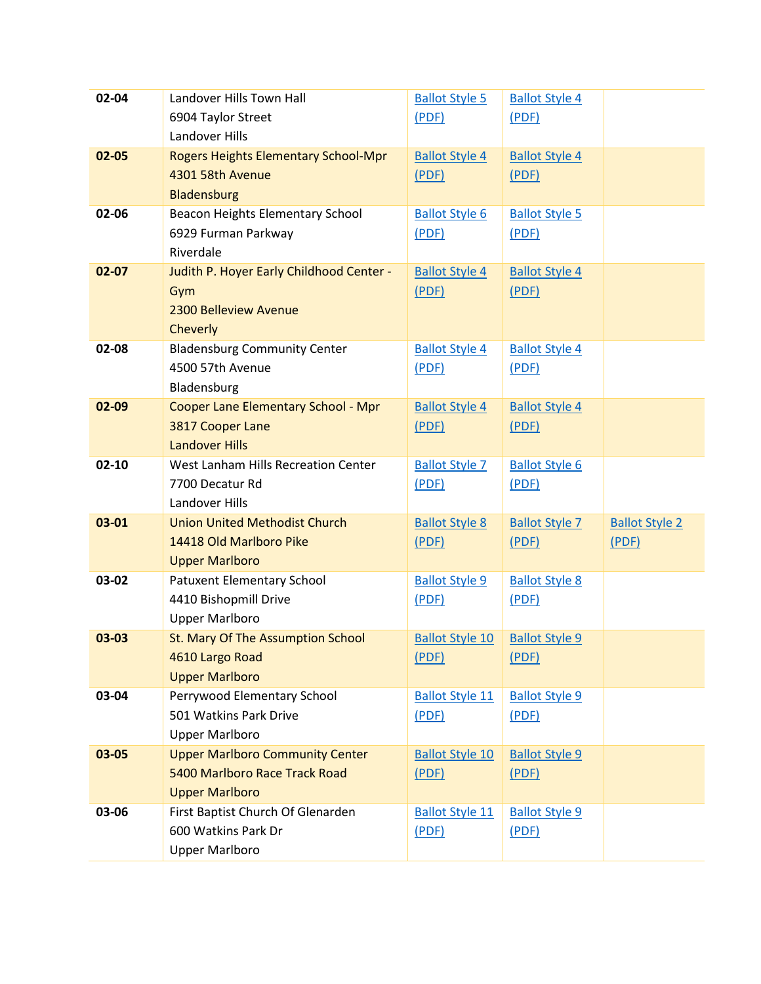| 02-04     | Landover Hills Town Hall                   | <b>Ballot Style 5</b>  | <b>Ballot Style 4</b> |                       |
|-----------|--------------------------------------------|------------------------|-----------------------|-----------------------|
|           | 6904 Taylor Street                         | (PDF)                  | (PDF)                 |                       |
|           | Landover Hills                             |                        |                       |                       |
| 02-05     | Rogers Heights Elementary School-Mpr       | <b>Ballot Style 4</b>  | <b>Ballot Style 4</b> |                       |
|           | 4301 58th Avenue                           | (PDF)                  | (PDF)                 |                       |
|           | Bladensburg                                |                        |                       |                       |
| 02-06     | Beacon Heights Elementary School           | <b>Ballot Style 6</b>  | <b>Ballot Style 5</b> |                       |
|           | 6929 Furman Parkway                        | (PDF)                  | (PDF)                 |                       |
|           | Riverdale                                  |                        |                       |                       |
| $02 - 07$ | Judith P. Hoyer Early Childhood Center -   | <b>Ballot Style 4</b>  | <b>Ballot Style 4</b> |                       |
|           | Gym                                        | (PDF)                  | (PDF)                 |                       |
|           | 2300 Belleview Avenue                      |                        |                       |                       |
|           | Cheverly                                   |                        |                       |                       |
| 02-08     | <b>Bladensburg Community Center</b>        | <b>Ballot Style 4</b>  | <b>Ballot Style 4</b> |                       |
|           | 4500 57th Avenue                           | (PDF)                  | (PDF)                 |                       |
|           | Bladensburg                                |                        |                       |                       |
| 02-09     | <b>Cooper Lane Elementary School - Mpr</b> | <b>Ballot Style 4</b>  | <b>Ballot Style 4</b> |                       |
|           | 3817 Cooper Lane                           | (PDF)                  | (PDF)                 |                       |
|           | <b>Landover Hills</b>                      |                        |                       |                       |
| $02 - 10$ | West Lanham Hills Recreation Center        | <b>Ballot Style 7</b>  | <b>Ballot Style 6</b> |                       |
|           | 7700 Decatur Rd                            | (PDF)                  | (PDF)                 |                       |
|           | Landover Hills                             |                        |                       |                       |
| 03-01     | <b>Union United Methodist Church</b>       | <b>Ballot Style 8</b>  | <b>Ballot Style 7</b> | <b>Ballot Style 2</b> |
|           | 14418 Old Marlboro Pike                    | (PDF)                  | (PDF)                 | (PDF)                 |
|           | <b>Upper Marlboro</b>                      |                        |                       |                       |
| 03-02     | Patuxent Elementary School                 | <b>Ballot Style 9</b>  | <b>Ballot Style 8</b> |                       |
|           | 4410 Bishopmill Drive                      | (PDF)                  | (PDF)                 |                       |
|           | <b>Upper Marlboro</b>                      |                        |                       |                       |
| 03-03     | St. Mary Of The Assumption School          | <b>Ballot Style 10</b> | <b>Ballot Style 9</b> |                       |
|           | 4610 Largo Road                            | (PDF)                  | (PDF)                 |                       |
|           | <b>Upper Marlboro</b>                      |                        |                       |                       |
| 03-04     | Perrywood Elementary School                | <b>Ballot Style 11</b> | <b>Ballot Style 9</b> |                       |
|           | 501 Watkins Park Drive                     | (PDF)                  | (PDF)                 |                       |
|           | <b>Upper Marlboro</b>                      |                        |                       |                       |
| 03-05     | <b>Upper Marlboro Community Center</b>     | <b>Ballot Style 10</b> | <b>Ballot Style 9</b> |                       |
|           | 5400 Marlboro Race Track Road              | (PDF)                  | (PDF)                 |                       |
|           | <b>Upper Marlboro</b>                      |                        |                       |                       |
| 03-06     | First Baptist Church Of Glenarden          | <b>Ballot Style 11</b> | <b>Ballot Style 9</b> |                       |
|           | 600 Watkins Park Dr                        | (PDF)                  | (PDF)                 |                       |
|           | <b>Upper Marlboro</b>                      |                        |                       |                       |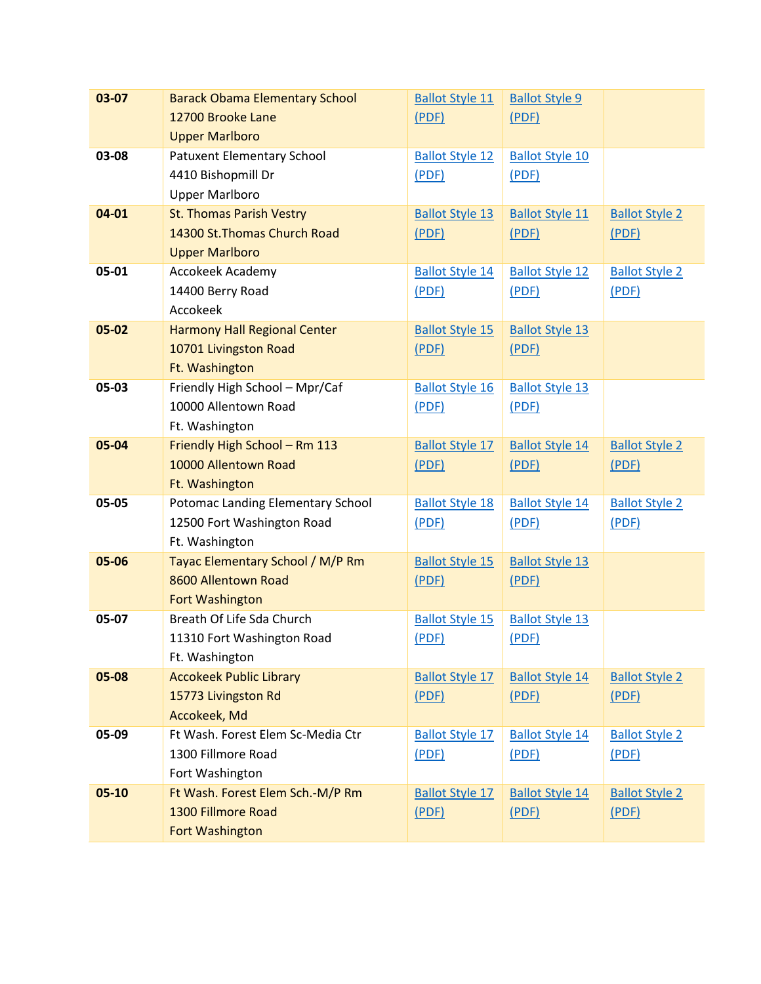| 03-07     | <b>Barack Obama Elementary School</b> | <b>Ballot Style 11</b> | <b>Ballot Style 9</b>  |                       |
|-----------|---------------------------------------|------------------------|------------------------|-----------------------|
|           | 12700 Brooke Lane                     | (PDF)                  | (PDF)                  |                       |
|           | <b>Upper Marlboro</b>                 |                        |                        |                       |
| 03-08     | Patuxent Elementary School            | <b>Ballot Style 12</b> | <b>Ballot Style 10</b> |                       |
|           | 4410 Bishopmill Dr                    | (PDF)                  | (PDF)                  |                       |
|           | <b>Upper Marlboro</b>                 |                        |                        |                       |
| 04-01     | <b>St. Thomas Parish Vestry</b>       | <b>Ballot Style 13</b> | <b>Ballot Style 11</b> | <b>Ballot Style 2</b> |
|           | 14300 St. Thomas Church Road          | (PDF)                  | (PDF)                  | (PDF)                 |
|           | <b>Upper Marlboro</b>                 |                        |                        |                       |
| 05-01     | Accokeek Academy                      | <b>Ballot Style 14</b> | <b>Ballot Style 12</b> | <b>Ballot Style 2</b> |
|           | 14400 Berry Road                      | (PDF)                  | (PDF)                  | (PDF)                 |
|           | Accokeek                              |                        |                        |                       |
| $05 - 02$ | <b>Harmony Hall Regional Center</b>   | <b>Ballot Style 15</b> | <b>Ballot Style 13</b> |                       |
|           | 10701 Livingston Road                 | (PDF)                  | (PDF)                  |                       |
|           | Ft. Washington                        |                        |                        |                       |
| 05-03     | Friendly High School - Mpr/Caf        | <b>Ballot Style 16</b> | <b>Ballot Style 13</b> |                       |
|           | 10000 Allentown Road                  | (PDF)                  | (PDF)                  |                       |
|           | Ft. Washington                        |                        |                        |                       |
| 05-04     | Friendly High School - Rm 113         | <b>Ballot Style 17</b> | <b>Ballot Style 14</b> | <b>Ballot Style 2</b> |
|           | 10000 Allentown Road                  | (PDF)                  | (PDF)                  | (PDF)                 |
|           | Ft. Washington                        |                        |                        |                       |
| 05-05     | Potomac Landing Elementary School     | <b>Ballot Style 18</b> | <b>Ballot Style 14</b> | <b>Ballot Style 2</b> |
|           | 12500 Fort Washington Road            | (PDF)                  | (PDF)                  | (PDF)                 |
|           | Ft. Washington                        |                        |                        |                       |
| 05-06     | Tayac Elementary School / M/P Rm      | <b>Ballot Style 15</b> | <b>Ballot Style 13</b> |                       |
|           | 8600 Allentown Road                   | (PDF)                  | (PDF)                  |                       |
|           | <b>Fort Washington</b>                |                        |                        |                       |
| 05-07     | Breath Of Life Sda Church             | <b>Ballot Style 15</b> | <b>Ballot Style 13</b> |                       |
|           | 11310 Fort Washington Road            | (PDF)                  | (PDF)                  |                       |
|           | Ft. Washington                        |                        |                        |                       |
| 05-08     | <b>Accokeek Public Library</b>        | <b>Ballot Style 17</b> | <b>Ballot Style 14</b> | <b>Ballot Style 2</b> |
|           | 15773 Livingston Rd                   | (PDF)                  | (PDF)                  | (PDF)                 |
|           | Accokeek, Md                          |                        |                        |                       |
| 05-09     | Ft Wash. Forest Elem Sc-Media Ctr     | <b>Ballot Style 17</b> | <b>Ballot Style 14</b> | <b>Ballot Style 2</b> |
|           | 1300 Fillmore Road                    | (PDF)                  | (PDF)                  | (PDF)                 |
|           | Fort Washington                       |                        |                        |                       |
| $05-10$   | Ft Wash. Forest Elem Sch.-M/P Rm      | <b>Ballot Style 17</b> | <b>Ballot Style 14</b> | <b>Ballot Style 2</b> |
|           | 1300 Fillmore Road                    | (PDF)                  | (PDF)                  | (PDF)                 |
|           | Fort Washington                       |                        |                        |                       |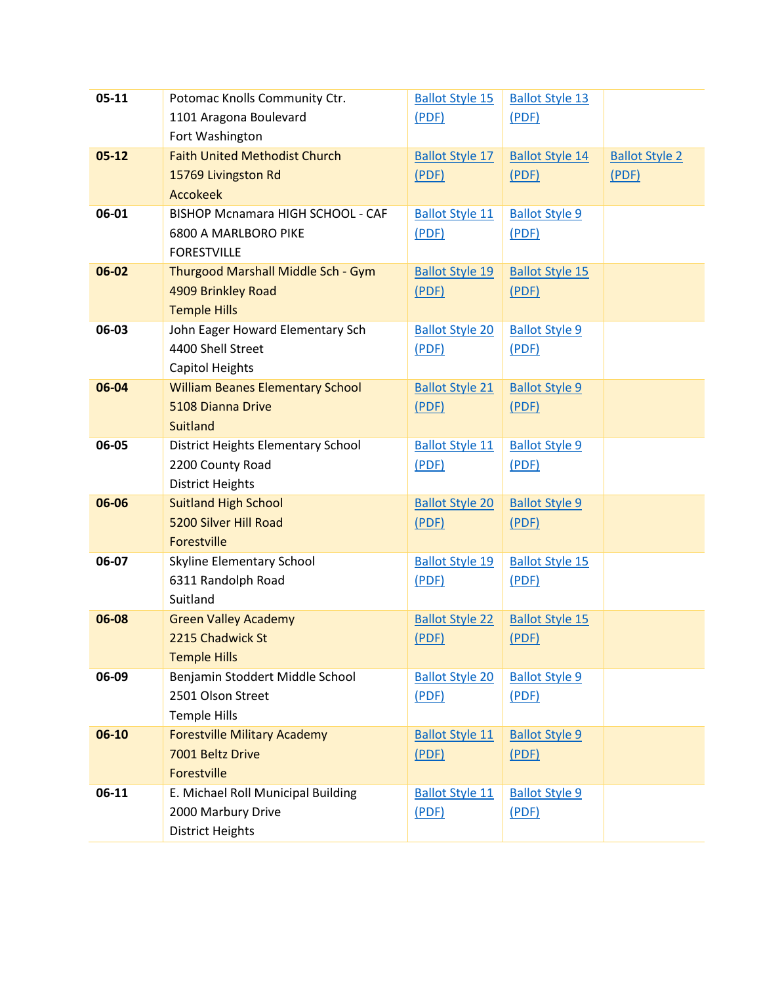| $05-11$   | Potomac Knolls Community Ctr.            | <b>Ballot Style 15</b> | <b>Ballot Style 13</b> |                       |
|-----------|------------------------------------------|------------------------|------------------------|-----------------------|
|           | 1101 Aragona Boulevard                   | (PDF)                  | (PDF)                  |                       |
|           | Fort Washington                          |                        |                        |                       |
| $05 - 12$ | <b>Faith United Methodist Church</b>     | <b>Ballot Style 17</b> | <b>Ballot Style 14</b> | <b>Ballot Style 2</b> |
|           | 15769 Livingston Rd                      | (PDF)                  | (PDF)                  | (PDF)                 |
|           | <b>Accokeek</b>                          |                        |                        |                       |
| 06-01     | <b>BISHOP Mcnamara HIGH SCHOOL - CAF</b> | <b>Ballot Style 11</b> | <b>Ballot Style 9</b>  |                       |
|           | 6800 A MARLBORO PIKE                     | (PDF)                  | (PDF)                  |                       |
|           | <b>FORESTVILLE</b>                       |                        |                        |                       |
| 06-02     | Thurgood Marshall Middle Sch - Gym       | <b>Ballot Style 19</b> | <b>Ballot Style 15</b> |                       |
|           | 4909 Brinkley Road                       | (PDF)                  | (PDF)                  |                       |
|           | <b>Temple Hills</b>                      |                        |                        |                       |
| 06-03     | John Eager Howard Elementary Sch         | <b>Ballot Style 20</b> | <b>Ballot Style 9</b>  |                       |
|           | 4400 Shell Street                        | (PDF)                  | (PDF)                  |                       |
|           | <b>Capitol Heights</b>                   |                        |                        |                       |
| 06-04     | <b>William Beanes Elementary School</b>  | <b>Ballot Style 21</b> | <b>Ballot Style 9</b>  |                       |
|           | 5108 Dianna Drive                        | (PDF)                  | (PDF)                  |                       |
|           | <b>Suitland</b>                          |                        |                        |                       |
| 06-05     | District Heights Elementary School       | <b>Ballot Style 11</b> | <b>Ballot Style 9</b>  |                       |
|           | 2200 County Road                         | (PDF)                  | (PDF)                  |                       |
|           | <b>District Heights</b>                  |                        |                        |                       |
| 06-06     | <b>Suitland High School</b>              | <b>Ballot Style 20</b> | <b>Ballot Style 9</b>  |                       |
|           | 5200 Silver Hill Road                    | (PDF)                  | (PDF)                  |                       |
|           | Forestville                              |                        |                        |                       |
| 06-07     | Skyline Elementary School                | <b>Ballot Style 19</b> | <b>Ballot Style 15</b> |                       |
|           | 6311 Randolph Road                       | (PDF)                  | (PDF)                  |                       |
|           | Suitland                                 |                        |                        |                       |
| 06-08     | <b>Green Valley Academy</b>              | <b>Ballot Style 22</b> | <b>Ballot Style 15</b> |                       |
|           | 2215 Chadwick St                         | (PDF)                  | (PDF)                  |                       |
|           | <b>Temple Hills</b>                      |                        |                        |                       |
| 06-09     | Benjamin Stoddert Middle School          | <b>Ballot Style 20</b> | <b>Ballot Style 9</b>  |                       |
|           | 2501 Olson Street                        | (PDF)                  | (PDF)                  |                       |
|           | <b>Temple Hills</b>                      |                        |                        |                       |
| 06-10     | <b>Forestville Military Academy</b>      | <b>Ballot Style 11</b> | <b>Ballot Style 9</b>  |                       |
|           | 7001 Beltz Drive                         | (PDF)                  | (PDF)                  |                       |
|           | Forestville                              |                        |                        |                       |
| $06-11$   | E. Michael Roll Municipal Building       | <b>Ballot Style 11</b> | <b>Ballot Style 9</b>  |                       |
|           | 2000 Marbury Drive                       | (PDF)                  | (PDF)                  |                       |
|           | <b>District Heights</b>                  |                        |                        |                       |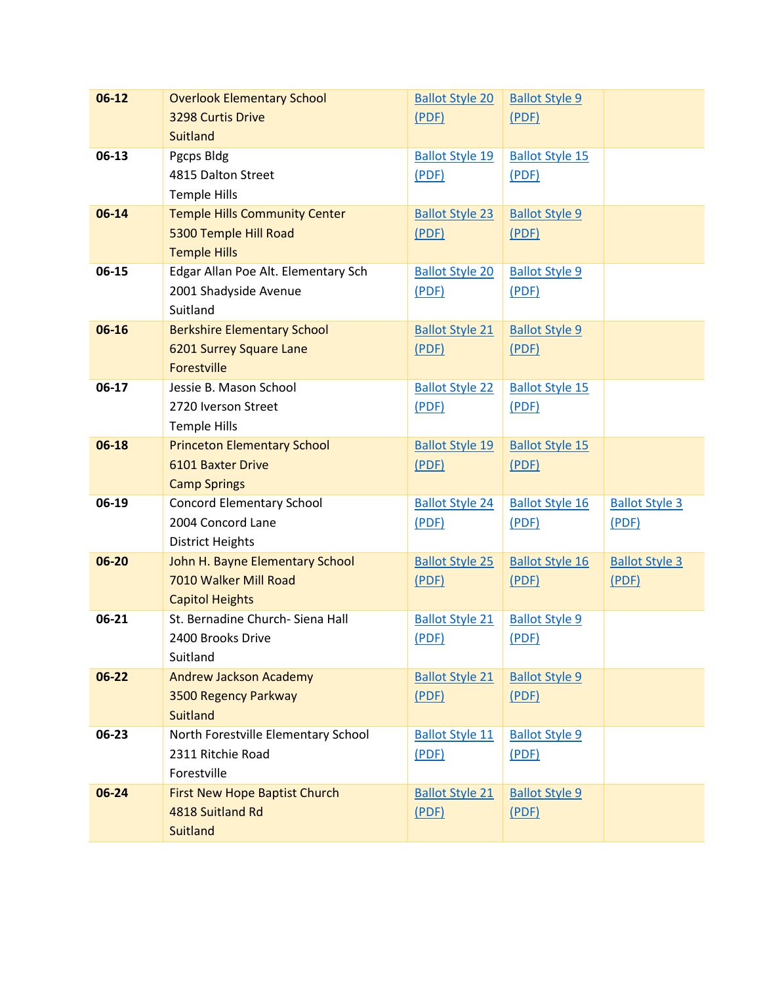| $06-12$   | <b>Overlook Elementary School</b>    | <b>Ballot Style 20</b> | <b>Ballot Style 9</b>  |                       |
|-----------|--------------------------------------|------------------------|------------------------|-----------------------|
|           | 3298 Curtis Drive                    | (PDF)                  | (PDF)                  |                       |
|           | <b>Suitland</b>                      |                        |                        |                       |
| 06-13     | Pgcps Bldg                           | <b>Ballot Style 19</b> | <b>Ballot Style 15</b> |                       |
|           | 4815 Dalton Street                   | (PDF)                  | (PDF)                  |                       |
|           | <b>Temple Hills</b>                  |                        |                        |                       |
| 06-14     | <b>Temple Hills Community Center</b> | <b>Ballot Style 23</b> | <b>Ballot Style 9</b>  |                       |
|           | 5300 Temple Hill Road                | (PDF)                  | (PDF)                  |                       |
|           | <b>Temple Hills</b>                  |                        |                        |                       |
| 06-15     | Edgar Allan Poe Alt. Elementary Sch  | <b>Ballot Style 20</b> | <b>Ballot Style 9</b>  |                       |
|           | 2001 Shadyside Avenue                | (PDF)                  | (PDF)                  |                       |
|           | Suitland                             |                        |                        |                       |
| 06-16     | <b>Berkshire Elementary School</b>   | <b>Ballot Style 21</b> | <b>Ballot Style 9</b>  |                       |
|           | 6201 Surrey Square Lane              | (PDF)                  | (PDF)                  |                       |
|           | Forestville                          |                        |                        |                       |
| 06-17     | Jessie B. Mason School               | <b>Ballot Style 22</b> | <b>Ballot Style 15</b> |                       |
|           | 2720 Iverson Street                  | (PDF)                  | (PDF)                  |                       |
|           | <b>Temple Hills</b>                  |                        |                        |                       |
| 06-18     | <b>Princeton Elementary School</b>   | <b>Ballot Style 19</b> | <b>Ballot Style 15</b> |                       |
|           | <b>6101 Baxter Drive</b>             | (PDF)                  | (PDF)                  |                       |
|           | <b>Camp Springs</b>                  |                        |                        |                       |
| 06-19     | <b>Concord Elementary School</b>     | <b>Ballot Style 24</b> | <b>Ballot Style 16</b> | <b>Ballot Style 3</b> |
|           | 2004 Concord Lane                    | (PDF)                  | (PDF)                  | (PDF)                 |
|           | <b>District Heights</b>              |                        |                        |                       |
| 06-20     | John H. Bayne Elementary School      | <b>Ballot Style 25</b> | <b>Ballot Style 16</b> | <b>Ballot Style 3</b> |
|           | 7010 Walker Mill Road                | (PDF)                  | (PDF)                  | (PDF)                 |
|           | <b>Capitol Heights</b>               |                        |                        |                       |
| 06-21     | St. Bernadine Church- Siena Hall     | <b>Ballot Style 21</b> | <b>Ballot Style 9</b>  |                       |
|           | 2400 Brooks Drive                    | (PDF)                  | (PDF)                  |                       |
|           | Suitland                             |                        |                        |                       |
| $06 - 22$ | <b>Andrew Jackson Academy</b>        | <b>Ballot Style 21</b> | <b>Ballot Style 9</b>  |                       |
|           | 3500 Regency Parkway                 | (PDF)                  | (PDF)                  |                       |
|           | <b>Suitland</b>                      |                        |                        |                       |
| 06-23     | North Forestville Elementary School  | <b>Ballot Style 11</b> | <b>Ballot Style 9</b>  |                       |
|           | 2311 Ritchie Road                    | (PDF)                  | (PDF)                  |                       |
|           | Forestville                          |                        |                        |                       |
| 06-24     | <b>First New Hope Baptist Church</b> | <b>Ballot Style 21</b> | <b>Ballot Style 9</b>  |                       |
|           | 4818 Suitland Rd                     | (PDF)                  | (PDF)                  |                       |
|           | <b>Suitland</b>                      |                        |                        |                       |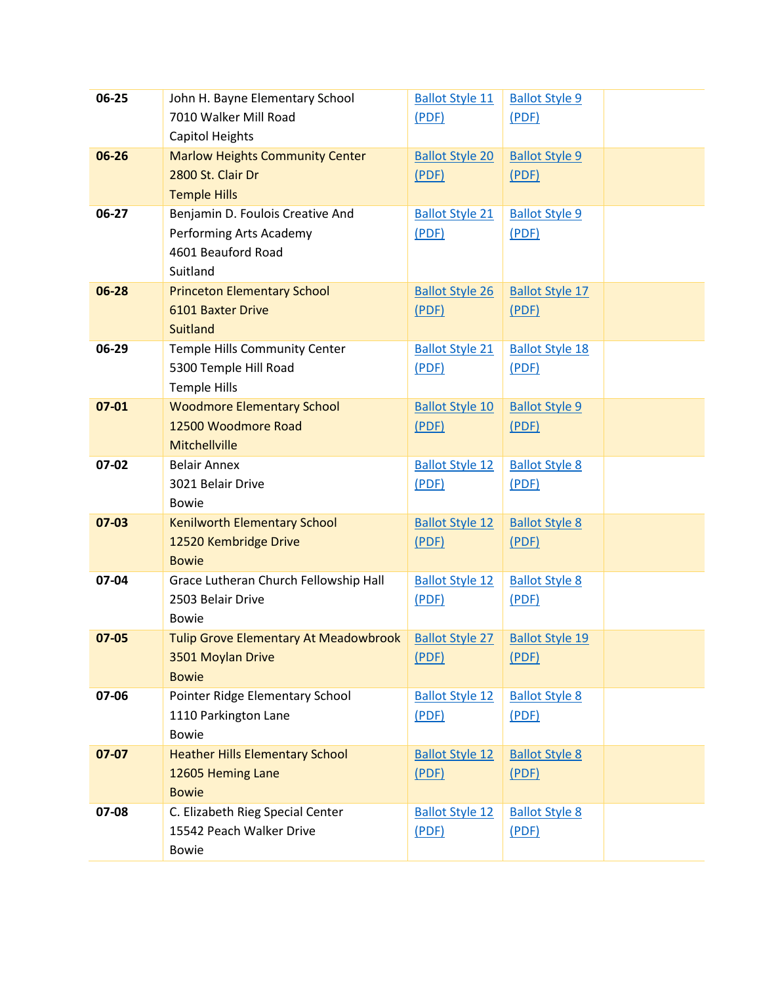| $06 - 25$ | John H. Bayne Elementary School              | <b>Ballot Style 11</b> | <b>Ballot Style 9</b>  |  |
|-----------|----------------------------------------------|------------------------|------------------------|--|
|           | 7010 Walker Mill Road                        | (PDF)                  | (PDF)                  |  |
|           | Capitol Heights                              |                        |                        |  |
| 06-26     | <b>Marlow Heights Community Center</b>       | <b>Ballot Style 20</b> | <b>Ballot Style 9</b>  |  |
|           | 2800 St. Clair Dr                            | (PDF)                  | (PDF)                  |  |
|           | <b>Temple Hills</b>                          |                        |                        |  |
| 06-27     | Benjamin D. Foulois Creative And             | <b>Ballot Style 21</b> | <b>Ballot Style 9</b>  |  |
|           | Performing Arts Academy                      | (PDF)                  | (PDF)                  |  |
|           | 4601 Beauford Road                           |                        |                        |  |
|           | Suitland                                     |                        |                        |  |
| 06-28     | <b>Princeton Elementary School</b>           | <b>Ballot Style 26</b> | <b>Ballot Style 17</b> |  |
|           | 6101 Baxter Drive                            | (PDF)                  | (PDF)                  |  |
|           | <b>Suitland</b>                              |                        |                        |  |
| 06-29     | Temple Hills Community Center                | <b>Ballot Style 21</b> | <b>Ballot Style 18</b> |  |
|           | 5300 Temple Hill Road                        | (PDF)                  | (PDF)                  |  |
|           | <b>Temple Hills</b>                          |                        |                        |  |
| $07 - 01$ | <b>Woodmore Elementary School</b>            | <b>Ballot Style 10</b> | <b>Ballot Style 9</b>  |  |
|           | 12500 Woodmore Road                          | (PDF)                  | (PDF)                  |  |
|           | Mitchellville                                |                        |                        |  |
| 07-02     | <b>Belair Annex</b>                          | <b>Ballot Style 12</b> | <b>Ballot Style 8</b>  |  |
|           | 3021 Belair Drive                            | (PDF)                  | (PDF)                  |  |
|           | <b>Bowie</b>                                 |                        |                        |  |
| $07-03$   | <b>Kenilworth Elementary School</b>          | <b>Ballot Style 12</b> | <b>Ballot Style 8</b>  |  |
|           | 12520 Kembridge Drive                        | (PDF)                  | (PDF)                  |  |
|           | <b>Bowie</b>                                 |                        |                        |  |
| 07-04     | Grace Lutheran Church Fellowship Hall        | <b>Ballot Style 12</b> | <b>Ballot Style 8</b>  |  |
|           | 2503 Belair Drive                            | (PDF)                  | (PDF)                  |  |
|           | <b>Bowie</b>                                 |                        |                        |  |
| $07 - 05$ | <b>Tulip Grove Elementary At Meadowbrook</b> | <b>Ballot Style 27</b> | <b>Ballot Style 19</b> |  |
|           | 3501 Moylan Drive                            | (PDF)                  | (PDF)                  |  |
|           | <b>Bowie</b>                                 |                        |                        |  |
| 07-06     | Pointer Ridge Elementary School              | <b>Ballot Style 12</b> | <b>Ballot Style 8</b>  |  |
|           | 1110 Parkington Lane                         | (PDF)                  | (PDF)                  |  |
|           | <b>Bowie</b>                                 |                        |                        |  |
| 07-07     | <b>Heather Hills Elementary School</b>       | <b>Ballot Style 12</b> | <b>Ballot Style 8</b>  |  |
|           | 12605 Heming Lane                            | (PDF)                  | (PDF)                  |  |
|           | <b>Bowie</b>                                 |                        |                        |  |
| 07-08     | C. Elizabeth Rieg Special Center             | <b>Ballot Style 12</b> | <b>Ballot Style 8</b>  |  |
|           | 15542 Peach Walker Drive                     | (PDF)                  | (PDF)                  |  |
|           | <b>Bowie</b>                                 |                        |                        |  |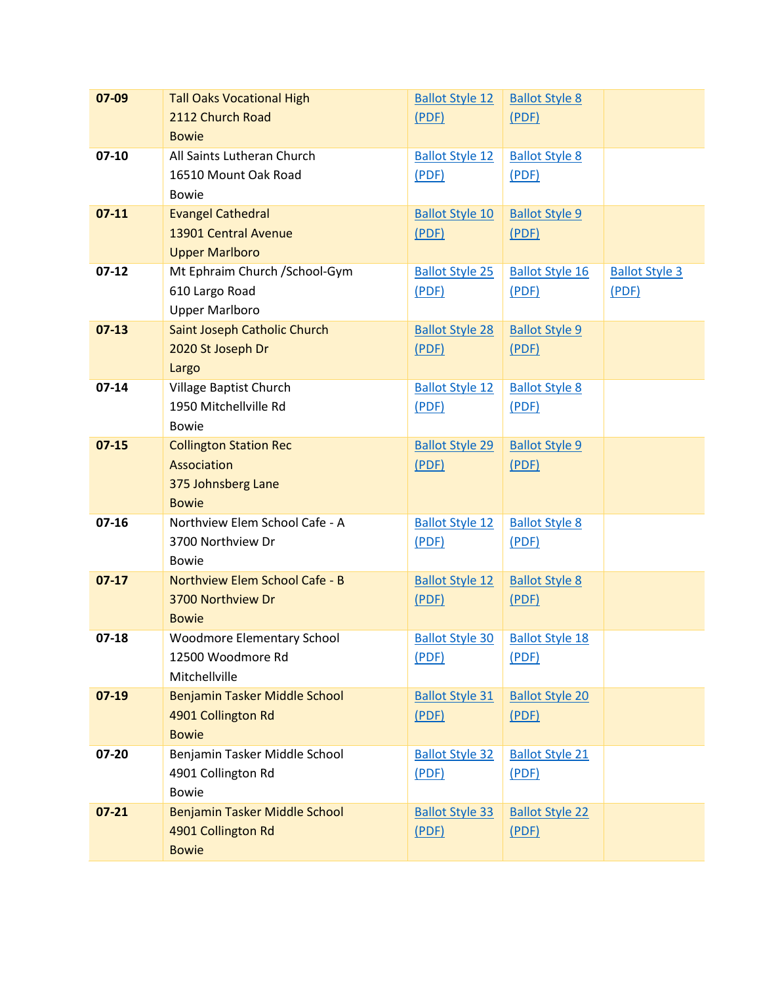| 07-09     | <b>Tall Oaks Vocational High</b>  | <b>Ballot Style 12</b> | <b>Ballot Style 8</b>  |                       |
|-----------|-----------------------------------|------------------------|------------------------|-----------------------|
|           | 2112 Church Road                  | (PDF)                  | (PDF)                  |                       |
|           | <b>Bowie</b>                      |                        |                        |                       |
| $07-10$   | All Saints Lutheran Church        | <b>Ballot Style 12</b> | <b>Ballot Style 8</b>  |                       |
|           | 16510 Mount Oak Road              | (PDF)                  | (PDF)                  |                       |
|           | <b>Bowie</b>                      |                        |                        |                       |
| $07-11$   | <b>Evangel Cathedral</b>          | <b>Ballot Style 10</b> | <b>Ballot Style 9</b>  |                       |
|           | 13901 Central Avenue              | (PDF)                  | (PDF)                  |                       |
|           | <b>Upper Marlboro</b>             |                        |                        |                       |
| $07-12$   | Mt Ephraim Church / School-Gym    | <b>Ballot Style 25</b> | <b>Ballot Style 16</b> | <b>Ballot Style 3</b> |
|           | 610 Largo Road                    | (PDF)                  | (PDF)                  | (PDF)                 |
|           | <b>Upper Marlboro</b>             |                        |                        |                       |
| $07-13$   | Saint Joseph Catholic Church      | <b>Ballot Style 28</b> | <b>Ballot Style 9</b>  |                       |
|           | 2020 St Joseph Dr                 | (PDF)                  | (PDF)                  |                       |
|           | Largo                             |                        |                        |                       |
| $07 - 14$ | Village Baptist Church            | <b>Ballot Style 12</b> | <b>Ballot Style 8</b>  |                       |
|           | 1950 Mitchellville Rd             | (PDF)                  | (PDF)                  |                       |
|           | <b>Bowie</b>                      |                        |                        |                       |
| $07 - 15$ | <b>Collington Station Rec</b>     | <b>Ballot Style 29</b> | <b>Ballot Style 9</b>  |                       |
|           | Association                       | (PDF)                  | (PDF)                  |                       |
|           | 375 Johnsberg Lane                |                        |                        |                       |
|           | <b>Bowie</b>                      |                        |                        |                       |
| $07 - 16$ | Northview Elem School Cafe - A    | <b>Ballot Style 12</b> | <b>Ballot Style 8</b>  |                       |
|           | 3700 Northview Dr                 | (PDF)                  | (PDF)                  |                       |
|           | <b>Bowie</b>                      |                        |                        |                       |
| $07-17$   | Northview Elem School Cafe - B    | <b>Ballot Style 12</b> | <b>Ballot Style 8</b>  |                       |
|           | 3700 Northview Dr                 | (PDF)                  | (PDF)                  |                       |
|           | <b>Bowie</b>                      |                        |                        |                       |
| $07-18$   | <b>Woodmore Elementary School</b> | <b>Ballot Style 30</b> | <b>Ballot Style 18</b> |                       |
|           | 12500 Woodmore Rd                 | (PDF)                  | (PDF)                  |                       |
|           | Mitchellville                     |                        |                        |                       |
| $07-19$   | Benjamin Tasker Middle School     | <b>Ballot Style 31</b> | <b>Ballot Style 20</b> |                       |
|           | 4901 Collington Rd                | (PDF)                  | (PDF)                  |                       |
|           | <b>Bowie</b>                      |                        |                        |                       |
| 07-20     | Benjamin Tasker Middle School     | <b>Ballot Style 32</b> | <b>Ballot Style 21</b> |                       |
|           | 4901 Collington Rd                | (PDF)                  | (PDF)                  |                       |
|           | <b>Bowie</b>                      |                        |                        |                       |
| $07 - 21$ | Benjamin Tasker Middle School     | <b>Ballot Style 33</b> | <b>Ballot Style 22</b> |                       |
|           | 4901 Collington Rd                | (PDF)                  | (PDF)                  |                       |
|           | <b>Bowie</b>                      |                        |                        |                       |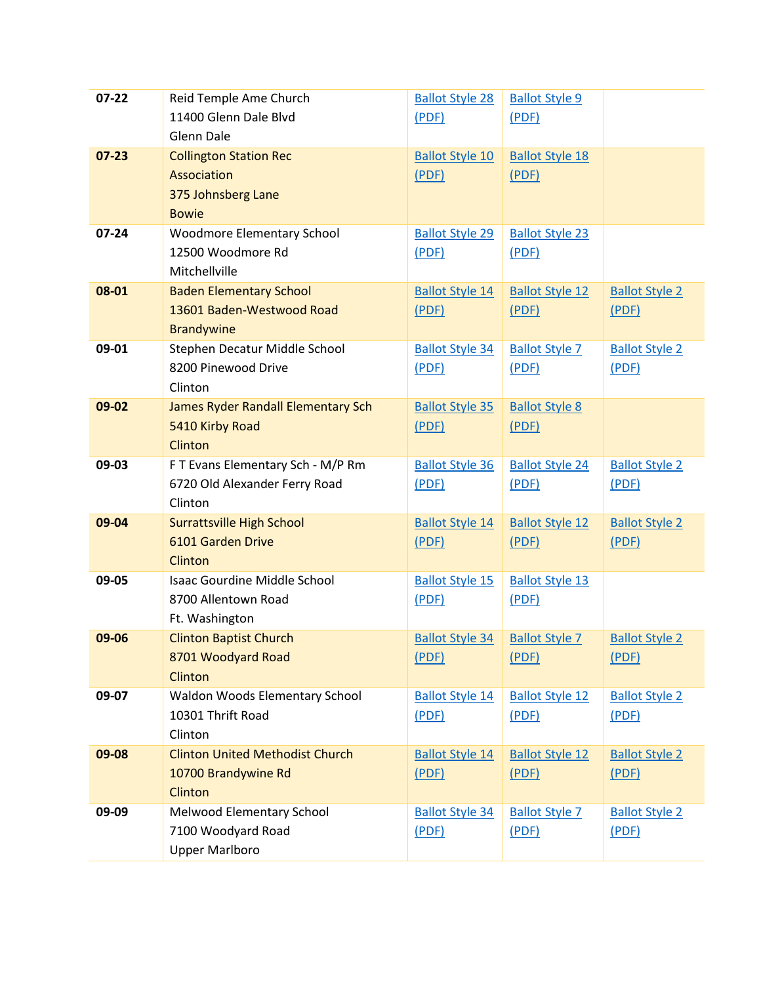| $07 - 22$ | Reid Temple Ame Church                 | <b>Ballot Style 28</b> | <b>Ballot Style 9</b>  |                       |
|-----------|----------------------------------------|------------------------|------------------------|-----------------------|
|           | 11400 Glenn Dale Blvd                  | (PDF)                  | (PDF)                  |                       |
|           | <b>Glenn Dale</b>                      |                        |                        |                       |
| $07 - 23$ | <b>Collington Station Rec</b>          | <b>Ballot Style 10</b> | <b>Ballot Style 18</b> |                       |
|           | <b>Association</b>                     | (PDF)                  | (PDF)                  |                       |
|           | 375 Johnsberg Lane                     |                        |                        |                       |
|           | <b>Bowie</b>                           |                        |                        |                       |
| 07-24     | <b>Woodmore Elementary School</b>      | <b>Ballot Style 29</b> | <b>Ballot Style 23</b> |                       |
|           | 12500 Woodmore Rd                      | (PDF)                  | (PDF)                  |                       |
|           | Mitchellville                          |                        |                        |                       |
| 08-01     | <b>Baden Elementary School</b>         | <b>Ballot Style 14</b> | <b>Ballot Style 12</b> | <b>Ballot Style 2</b> |
|           | 13601 Baden-Westwood Road              | (PDF)                  | (PDF)                  | (PDF)                 |
|           | <b>Brandywine</b>                      |                        |                        |                       |
| 09-01     | Stephen Decatur Middle School          | <b>Ballot Style 34</b> | <b>Ballot Style 7</b>  | <b>Ballot Style 2</b> |
|           | 8200 Pinewood Drive                    | (PDF)                  | (PDF)                  | (PDF)                 |
|           | Clinton                                |                        |                        |                       |
| 09-02     | James Ryder Randall Elementary Sch     | <b>Ballot Style 35</b> | <b>Ballot Style 8</b>  |                       |
|           | 5410 Kirby Road                        | (PDF)                  | (PDF)                  |                       |
|           | Clinton                                |                        |                        |                       |
| 09-03     | F T Evans Elementary Sch - M/P Rm      | <b>Ballot Style 36</b> | <b>Ballot Style 24</b> | <b>Ballot Style 2</b> |
|           | 6720 Old Alexander Ferry Road          | (PDF)                  | (PDF)                  | (PDF)                 |
|           | Clinton                                |                        |                        |                       |
| 09-04     | <b>Surrattsville High School</b>       | <b>Ballot Style 14</b> | <b>Ballot Style 12</b> | <b>Ballot Style 2</b> |
|           | 6101 Garden Drive                      | (PDF)                  | (PDF)                  | (PDF)                 |
|           | Clinton                                |                        |                        |                       |
| 09-05     | <b>Isaac Gourdine Middle School</b>    | <b>Ballot Style 15</b> | <b>Ballot Style 13</b> |                       |
|           | 8700 Allentown Road                    | (PDF)                  | (PDF)                  |                       |
|           | Ft. Washington                         |                        |                        |                       |
| 09-06     | <b>Clinton Baptist Church</b>          | <b>Ballot Style 34</b> | <b>Ballot Style 7</b>  | <b>Ballot Style 2</b> |
|           | 8701 Woodyard Road                     | (PDF)                  | (PDF)                  | (PDF)                 |
|           | Clinton                                |                        |                        |                       |
| 09-07     | Waldon Woods Elementary School         | <b>Ballot Style 14</b> | <b>Ballot Style 12</b> | <b>Ballot Style 2</b> |
|           | 10301 Thrift Road                      | (PDF)                  | (PDF)                  | (PDF)                 |
|           | Clinton                                |                        |                        |                       |
| 09-08     | <b>Clinton United Methodist Church</b> | <b>Ballot Style 14</b> | <b>Ballot Style 12</b> | <b>Ballot Style 2</b> |
|           | 10700 Brandywine Rd                    | (PDF)                  | (PDF)                  | (PDF)                 |
|           | Clinton                                |                        |                        |                       |
| 09-09     | Melwood Elementary School              | <b>Ballot Style 34</b> | <b>Ballot Style 7</b>  | <b>Ballot Style 2</b> |
|           | 7100 Woodyard Road                     |                        |                        | (PDF)                 |
|           |                                        | (PDF)                  | (PDF)                  |                       |
|           | <b>Upper Marlboro</b>                  |                        |                        |                       |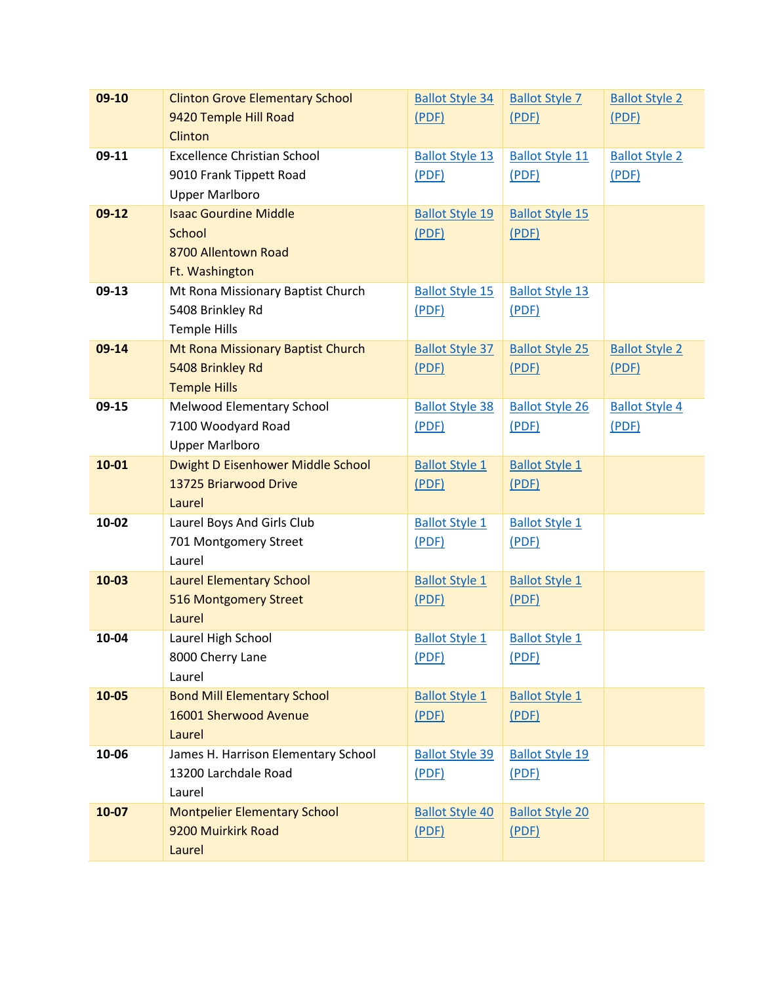| 09-10     | <b>Clinton Grove Elementary School</b> | <b>Ballot Style 34</b> | <b>Ballot Style 7</b>  | <b>Ballot Style 2</b> |
|-----------|----------------------------------------|------------------------|------------------------|-----------------------|
|           | 9420 Temple Hill Road                  | (PDF)                  | (PDF)                  | (PDF)                 |
|           | Clinton                                |                        |                        |                       |
| 09-11     | <b>Excellence Christian School</b>     | <b>Ballot Style 13</b> | <b>Ballot Style 11</b> | <b>Ballot Style 2</b> |
|           | 9010 Frank Tippett Road                | (PDF)                  | (PDF)                  | (PDF)                 |
|           | <b>Upper Marlboro</b>                  |                        |                        |                       |
| $09-12$   | <b>Isaac Gourdine Middle</b>           | <b>Ballot Style 19</b> | <b>Ballot Style 15</b> |                       |
|           | School                                 | (PDF)                  | (PDF)                  |                       |
|           | 8700 Allentown Road                    |                        |                        |                       |
|           | Ft. Washington                         |                        |                        |                       |
| 09-13     | Mt Rona Missionary Baptist Church      | <b>Ballot Style 15</b> | <b>Ballot Style 13</b> |                       |
|           | 5408 Brinkley Rd                       | (PDF)                  | (PDF)                  |                       |
|           | <b>Temple Hills</b>                    |                        |                        |                       |
| 09-14     | Mt Rona Missionary Baptist Church      | <b>Ballot Style 37</b> | <b>Ballot Style 25</b> | <b>Ballot Style 2</b> |
|           | 5408 Brinkley Rd                       | (PDF)                  | (PDF)                  | (PDF)                 |
|           | <b>Temple Hills</b>                    |                        |                        |                       |
| $09-15$   | Melwood Elementary School              | <b>Ballot Style 38</b> | <b>Ballot Style 26</b> | <b>Ballot Style 4</b> |
|           | 7100 Woodyard Road                     | (PDF)                  | (PDF)                  | (PDF)                 |
|           | <b>Upper Marlboro</b>                  |                        |                        |                       |
| $10 - 01$ | Dwight D Eisenhower Middle School      | <b>Ballot Style 1</b>  | <b>Ballot Style 1</b>  |                       |
|           | 13725 Briarwood Drive                  | (PDF)                  | (PDF)                  |                       |
|           | Laurel                                 |                        |                        |                       |
| 10-02     | Laurel Boys And Girls Club             | <b>Ballot Style 1</b>  | <b>Ballot Style 1</b>  |                       |
|           | 701 Montgomery Street                  | (PDF)                  | (PDF)                  |                       |
|           | Laurel                                 |                        |                        |                       |
| $10-03$   | <b>Laurel Elementary School</b>        | <b>Ballot Style 1</b>  | <b>Ballot Style 1</b>  |                       |
|           | 516 Montgomery Street                  | (PDF)                  | (PDF)                  |                       |
|           | Laurel                                 |                        |                        |                       |
| 10-04     | Laurel High School                     | <b>Ballot Style 1</b>  | <b>Ballot Style 1</b>  |                       |
|           | 8000 Cherry Lane                       | (PDF)                  | (PDF)                  |                       |
|           | Laurel                                 |                        |                        |                       |
| 10-05     | <b>Bond Mill Elementary School</b>     | <b>Ballot Style 1</b>  | <b>Ballot Style 1</b>  |                       |
|           | 16001 Sherwood Avenue                  | (PDF)                  | (PDF)                  |                       |
|           | Laurel                                 |                        |                        |                       |
| 10-06     | James H. Harrison Elementary School    | <b>Ballot Style 39</b> | <b>Ballot Style 19</b> |                       |
|           | 13200 Larchdale Road                   | (PDF)                  | (PDF)                  |                       |
|           | Laurel                                 |                        |                        |                       |
| 10-07     | <b>Montpelier Elementary School</b>    | <b>Ballot Style 40</b> | <b>Ballot Style 20</b> |                       |
|           | 9200 Muirkirk Road                     | (PDF)                  | (PDF)                  |                       |
|           | Laurel                                 |                        |                        |                       |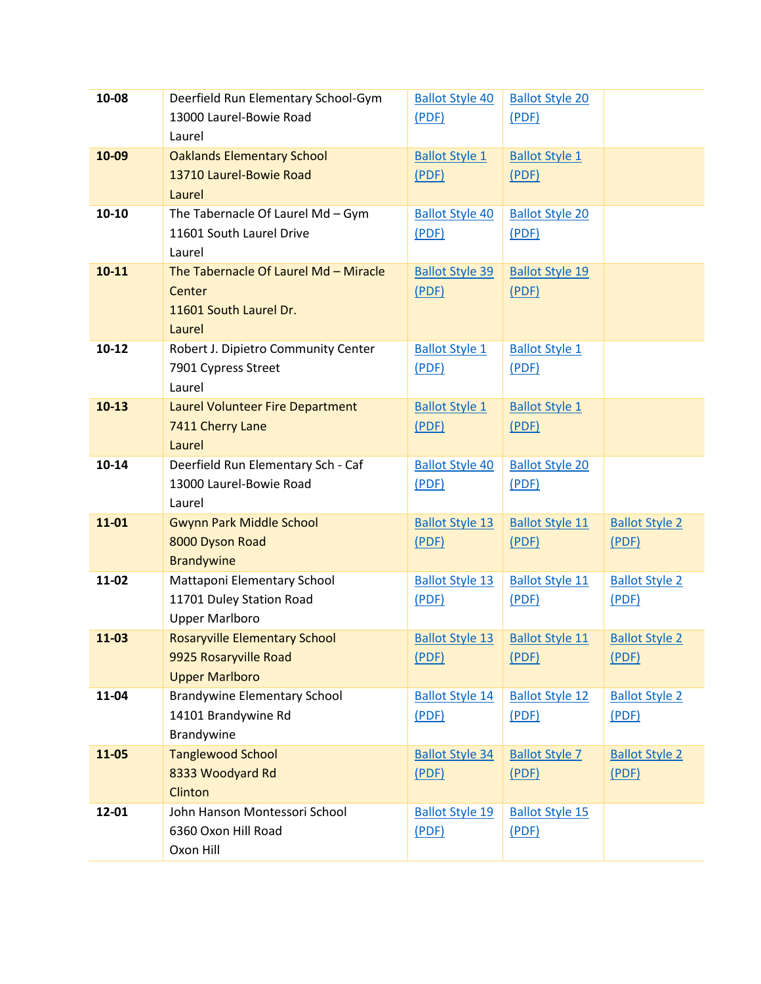| 10-08     | Deerfield Run Elementary School-Gym     | <b>Ballot Style 40</b> | <b>Ballot Style 20</b> |                       |
|-----------|-----------------------------------------|------------------------|------------------------|-----------------------|
|           | 13000 Laurel-Bowie Road                 | (PDF)                  | (PDF)                  |                       |
|           | Laurel                                  |                        |                        |                       |
| 10-09     | <b>Oaklands Elementary School</b>       | <b>Ballot Style 1</b>  | <b>Ballot Style 1</b>  |                       |
|           | 13710 Laurel-Bowie Road                 | (PDF)                  | (PDF)                  |                       |
|           | Laurel                                  |                        |                        |                       |
| 10-10     | The Tabernacle Of Laurel Md - Gym       | <b>Ballot Style 40</b> | <b>Ballot Style 20</b> |                       |
|           | 11601 South Laurel Drive                | (PDF)                  | (PDF)                  |                       |
|           | Laurel                                  |                        |                        |                       |
| $10 - 11$ | The Tabernacle Of Laurel Md - Miracle   | <b>Ballot Style 39</b> | <b>Ballot Style 19</b> |                       |
|           | Center                                  | (PDF)                  | (PDF)                  |                       |
|           | 11601 South Laurel Dr.                  |                        |                        |                       |
|           | Laurel                                  |                        |                        |                       |
| $10 - 12$ | Robert J. Dipietro Community Center     | <b>Ballot Style 1</b>  | <b>Ballot Style 1</b>  |                       |
|           | 7901 Cypress Street                     | (PDF)                  | (PDF)                  |                       |
|           | Laurel                                  |                        |                        |                       |
| $10-13$   | <b>Laurel Volunteer Fire Department</b> | <b>Ballot Style 1</b>  | <b>Ballot Style 1</b>  |                       |
|           | 7411 Cherry Lane                        | (PDF)                  | (PDF)                  |                       |
|           | Laurel                                  |                        |                        |                       |
| 10-14     | Deerfield Run Elementary Sch - Caf      | <b>Ballot Style 40</b> | <b>Ballot Style 20</b> |                       |
|           | 13000 Laurel-Bowie Road                 | (PDF)                  | (PDF)                  |                       |
|           | Laurel                                  |                        |                        |                       |
| 11-01     | <b>Gwynn Park Middle School</b>         | <b>Ballot Style 13</b> | <b>Ballot Style 11</b> | <b>Ballot Style 2</b> |
|           | 8000 Dyson Road                         | (PDF)                  | (PDF)                  | (PDF)                 |
|           | <b>Brandywine</b>                       |                        |                        |                       |
| 11-02     | Mattaponi Elementary School             | <b>Ballot Style 13</b> | <b>Ballot Style 11</b> | <b>Ballot Style 2</b> |
|           | 11701 Duley Station Road                | (PDF)                  | (PDF)                  | (PDF)                 |
|           | <b>Upper Marlboro</b>                   |                        |                        |                       |
| 11-03     | <b>Rosaryville Elementary School</b>    | <b>Ballot Style 13</b> | <b>Ballot Style 11</b> | <b>Ballot Style 2</b> |
|           | 9925 Rosaryville Road                   | (PDF)                  | (PDF)                  | (PDF)                 |
|           | <b>Upper Marlboro</b>                   |                        |                        |                       |
| 11-04     | <b>Brandywine Elementary School</b>     | <b>Ballot Style 14</b> | <b>Ballot Style 12</b> | <b>Ballot Style 2</b> |
|           | 14101 Brandywine Rd                     | (PDF)                  | (PDF)                  | (PDF)                 |
|           | Brandywine                              |                        |                        |                       |
| 11-05     | <b>Tanglewood School</b>                | <b>Ballot Style 34</b> | <b>Ballot Style 7</b>  | <b>Ballot Style 2</b> |
|           | 8333 Woodyard Rd                        | (PDF)                  | (PDF)                  | (PDF)                 |
|           | Clinton                                 |                        |                        |                       |
| 12-01     | John Hanson Montessori School           | <b>Ballot Style 19</b> | <b>Ballot Style 15</b> |                       |
|           | 6360 Oxon Hill Road                     | (PDF)                  | (PDF)                  |                       |
|           | Oxon Hill                               |                        |                        |                       |
|           |                                         |                        |                        |                       |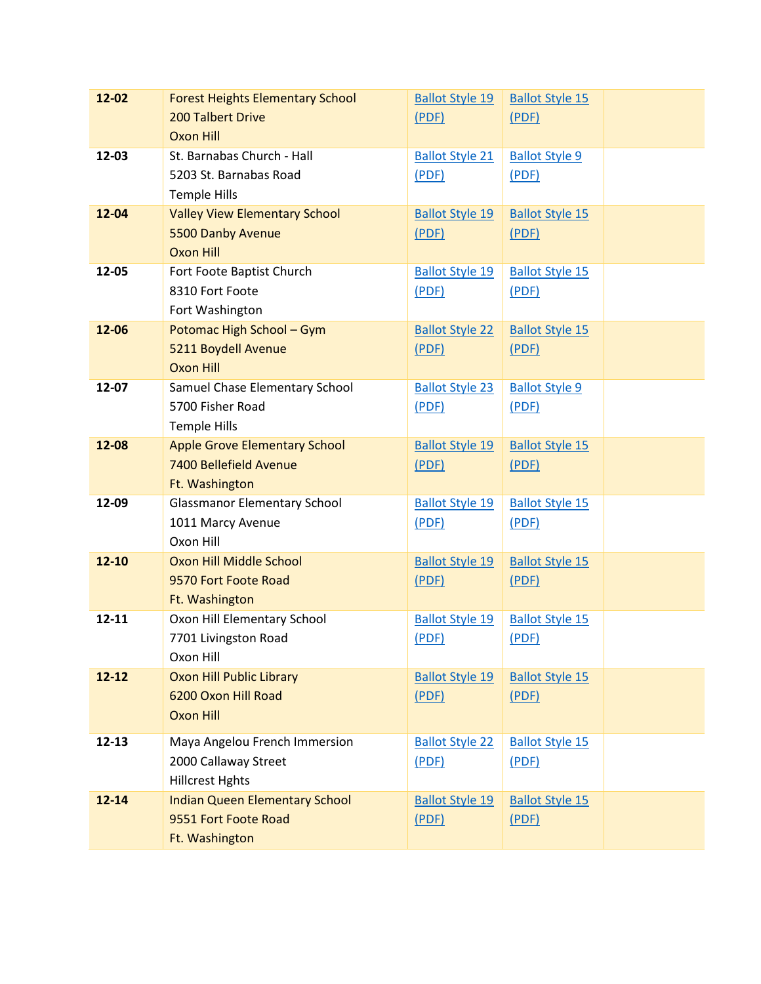| $12 - 02$ | <b>Forest Heights Elementary School</b> | <b>Ballot Style 19</b> | <b>Ballot Style 15</b> |  |
|-----------|-----------------------------------------|------------------------|------------------------|--|
|           | <b>200 Talbert Drive</b>                | (PDF)                  | (PDF)                  |  |
|           | <b>Oxon Hill</b>                        |                        |                        |  |
| 12-03     | St. Barnabas Church - Hall              | <b>Ballot Style 21</b> | <b>Ballot Style 9</b>  |  |
|           | 5203 St. Barnabas Road                  | (PDF)                  | (PDF)                  |  |
|           | <b>Temple Hills</b>                     |                        |                        |  |
| 12-04     | <b>Valley View Elementary School</b>    | <b>Ballot Style 19</b> | <b>Ballot Style 15</b> |  |
|           | 5500 Danby Avenue                       | (PDF)                  | (PDF)                  |  |
|           | <b>Oxon Hill</b>                        |                        |                        |  |
| 12-05     | Fort Foote Baptist Church               | <b>Ballot Style 19</b> | <b>Ballot Style 15</b> |  |
|           | 8310 Fort Foote                         | (PDF)                  | (PDF)                  |  |
|           | Fort Washington                         |                        |                        |  |
| 12-06     | Potomac High School - Gym               | <b>Ballot Style 22</b> | <b>Ballot Style 15</b> |  |
|           | 5211 Boydell Avenue<br><b>Oxon Hill</b> | (PDF)                  | (PDF)                  |  |
| 12-07     | Samuel Chase Elementary School          | <b>Ballot Style 23</b> | <b>Ballot Style 9</b>  |  |
|           | 5700 Fisher Road                        | (PDF)                  | (PDF)                  |  |
|           | <b>Temple Hills</b>                     |                        |                        |  |
| 12-08     | <b>Apple Grove Elementary School</b>    | <b>Ballot Style 19</b> | <b>Ballot Style 15</b> |  |
|           | 7400 Bellefield Avenue                  | (PDF)                  | (PDF)                  |  |
|           | Ft. Washington                          |                        |                        |  |
| 12-09     | <b>Glassmanor Elementary School</b>     | <b>Ballot Style 19</b> | <b>Ballot Style 15</b> |  |
|           | 1011 Marcy Avenue                       | (PDF)                  | (PDF)                  |  |
|           | Oxon Hill                               |                        |                        |  |
| $12 - 10$ | Oxon Hill Middle School                 | <b>Ballot Style 19</b> | <b>Ballot Style 15</b> |  |
|           | 9570 Fort Foote Road                    | (PDF)                  | (PDF)                  |  |
|           | Ft. Washington                          |                        |                        |  |
| 12-11     | Oxon Hill Elementary School             | <b>Ballot Style 19</b> | <b>Ballot Style 15</b> |  |
|           | 7701 Livingston Road                    | (PDF)                  | (PDF)                  |  |
|           | Oxon Hill                               |                        |                        |  |
| $12 - 12$ | <b>Oxon Hill Public Library</b>         | <b>Ballot Style 19</b> | <b>Ballot Style 15</b> |  |
|           | 6200 Oxon Hill Road                     | (PDF)                  | (PDF)                  |  |
|           | <b>Oxon Hill</b>                        |                        |                        |  |
| $12 - 13$ | Maya Angelou French Immersion           | <b>Ballot Style 22</b> | <b>Ballot Style 15</b> |  |
|           | 2000 Callaway Street                    | (PDF)                  | (PDF)                  |  |
|           | <b>Hillcrest Hghts</b>                  |                        |                        |  |
| $12 - 14$ | <b>Indian Queen Elementary School</b>   | <b>Ballot Style 19</b> | <b>Ballot Style 15</b> |  |
|           | 9551 Fort Foote Road                    | (PDF)                  | (PDF)                  |  |
|           | Ft. Washington                          |                        |                        |  |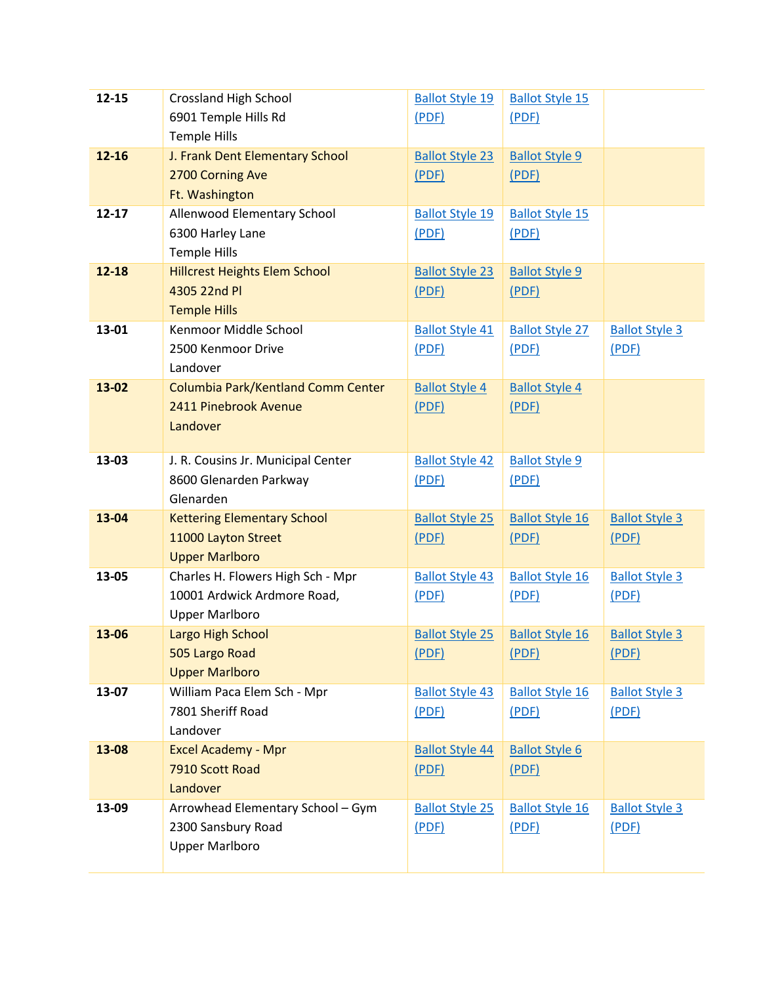| $12 - 15$ | <b>Crossland High School</b>         | <b>Ballot Style 19</b> | <b>Ballot Style 15</b> |                       |
|-----------|--------------------------------------|------------------------|------------------------|-----------------------|
|           | 6901 Temple Hills Rd                 | (PDF)                  | (PDF)                  |                       |
|           | <b>Temple Hills</b>                  |                        |                        |                       |
| $12 - 16$ | J. Frank Dent Elementary School      | <b>Ballot Style 23</b> | <b>Ballot Style 9</b>  |                       |
|           | 2700 Corning Ave                     | (PDF)                  | (PDF)                  |                       |
|           | Ft. Washington                       |                        |                        |                       |
| $12 - 17$ | Allenwood Elementary School          | <b>Ballot Style 19</b> | <b>Ballot Style 15</b> |                       |
|           | 6300 Harley Lane                     | (PDF)                  | (PDF)                  |                       |
|           | <b>Temple Hills</b>                  |                        |                        |                       |
| $12 - 18$ | <b>Hillcrest Heights Elem School</b> | <b>Ballot Style 23</b> | <b>Ballot Style 9</b>  |                       |
|           | 4305 22nd Pl                         | (PDF)                  | (PDF)                  |                       |
|           | <b>Temple Hills</b>                  |                        |                        |                       |
| 13-01     | Kenmoor Middle School                | <b>Ballot Style 41</b> | <b>Ballot Style 27</b> | <b>Ballot Style 3</b> |
|           | 2500 Kenmoor Drive                   | (PDF)                  | (PDF)                  | (PDF)                 |
|           | Landover                             |                        |                        |                       |
| 13-02     | Columbia Park/Kentland Comm Center   | <b>Ballot Style 4</b>  | <b>Ballot Style 4</b>  |                       |
|           | 2411 Pinebrook Avenue                | (PDF)                  | (PDF)                  |                       |
|           | Landover                             |                        |                        |                       |
|           |                                      |                        |                        |                       |
| 13-03     | J. R. Cousins Jr. Municipal Center   | <b>Ballot Style 42</b> | <b>Ballot Style 9</b>  |                       |
|           | 8600 Glenarden Parkway               | (PDF)                  | (PDF)                  |                       |
|           | Glenarden                            |                        |                        |                       |
| 13-04     | <b>Kettering Elementary School</b>   | <b>Ballot Style 25</b> | <b>Ballot Style 16</b> | <b>Ballot Style 3</b> |
|           | 11000 Layton Street                  | (PDF)                  | (PDF)                  | (PDF)                 |
|           | <b>Upper Marlboro</b>                |                        |                        |                       |
| 13-05     | Charles H. Flowers High Sch - Mpr    | <b>Ballot Style 43</b> | <b>Ballot Style 16</b> | <b>Ballot Style 3</b> |
|           | 10001 Ardwick Ardmore Road,          | (PDF)                  | (PDF)                  | (PDF)                 |
|           | <b>Upper Marlboro</b>                |                        |                        |                       |
| 13-06     | Largo High School                    | <b>Ballot Style 25</b> | <b>Ballot Style 16</b> | <b>Ballot Style 3</b> |
|           | 505 Largo Road                       | (PDF)                  | (PDF)                  | (PDF)                 |
|           | <b>Upper Marlboro</b>                |                        |                        |                       |
| 13-07     | William Paca Elem Sch - Mpr          | <b>Ballot Style 43</b> | <b>Ballot Style 16</b> | <b>Ballot Style 3</b> |
|           | 7801 Sheriff Road                    | (PDF)                  | (PDF)                  | (PDF)                 |
|           | Landover                             |                        |                        |                       |
| 13-08     | <b>Excel Academy - Mpr</b>           | <b>Ballot Style 44</b> | <b>Ballot Style 6</b>  |                       |
|           | 7910 Scott Road                      | (PDF)                  | (PDF)                  |                       |
|           | Landover                             |                        |                        |                       |
| 13-09     | Arrowhead Elementary School - Gym    | <b>Ballot Style 25</b> | <b>Ballot Style 16</b> | <b>Ballot Style 3</b> |
|           | 2300 Sansbury Road                   | (PDF)                  | (PDF)                  | (PDF)                 |
|           | <b>Upper Marlboro</b>                |                        |                        |                       |
|           |                                      |                        |                        |                       |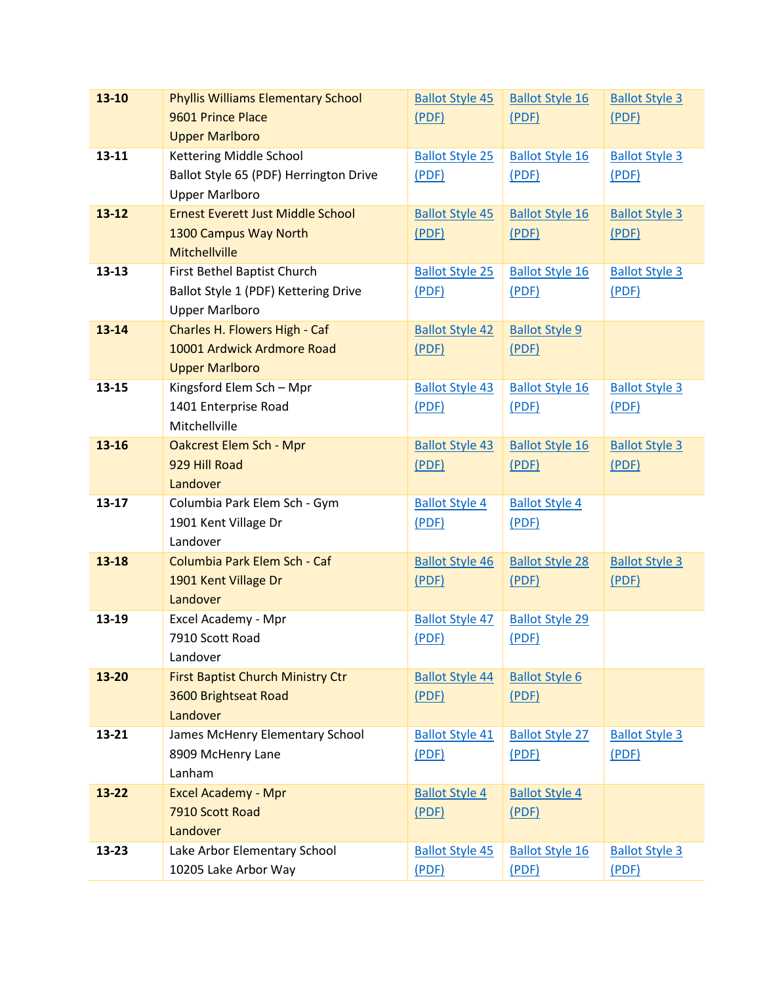| 13-10     | <b>Phyllis Williams Elementary School</b> | <b>Ballot Style 45</b> | <b>Ballot Style 16</b> | <b>Ballot Style 3</b> |
|-----------|-------------------------------------------|------------------------|------------------------|-----------------------|
|           | 9601 Prince Place                         | (PDF)                  | (PDF)                  | (PDF)                 |
|           | <b>Upper Marlboro</b>                     |                        |                        |                       |
| $13 - 11$ | Kettering Middle School                   | <b>Ballot Style 25</b> | <b>Ballot Style 16</b> | <b>Ballot Style 3</b> |
|           | Ballot Style 65 (PDF) Herrington Drive    | (PDF)                  | (PDF)                  | (PDF)                 |
|           | <b>Upper Marlboro</b>                     |                        |                        |                       |
| $13 - 12$ | <b>Ernest Everett Just Middle School</b>  | <b>Ballot Style 45</b> | <b>Ballot Style 16</b> | <b>Ballot Style 3</b> |
|           | 1300 Campus Way North                     | (PDF)                  | (PDF)                  | (PDF)                 |
|           | <b>Mitchellville</b>                      |                        |                        |                       |
| $13 - 13$ | First Bethel Baptist Church               | <b>Ballot Style 25</b> | <b>Ballot Style 16</b> | <b>Ballot Style 3</b> |
|           | Ballot Style 1 (PDF) Kettering Drive      | (PDF)                  | (PDF)                  | (PDF)                 |
|           | <b>Upper Marlboro</b>                     |                        |                        |                       |
| $13 - 14$ | Charles H. Flowers High - Caf             | <b>Ballot Style 42</b> | <b>Ballot Style 9</b>  |                       |
|           | 10001 Ardwick Ardmore Road                | (PDF)                  | (PDF)                  |                       |
|           | <b>Upper Marlboro</b>                     |                        |                        |                       |
| $13 - 15$ | Kingsford Elem Sch - Mpr                  | <b>Ballot Style 43</b> | <b>Ballot Style 16</b> | <b>Ballot Style 3</b> |
|           | 1401 Enterprise Road                      | (PDF)                  | (PDF)                  | (PDF)                 |
|           | Mitchellville                             |                        |                        |                       |
| 13-16     | Oakcrest Elem Sch - Mpr                   | <b>Ballot Style 43</b> | <b>Ballot Style 16</b> | <b>Ballot Style 3</b> |
|           | 929 Hill Road                             | (PDF)                  | (PDF)                  | (PDF)                 |
|           | Landover                                  |                        |                        |                       |
| $13 - 17$ | Columbia Park Elem Sch - Gym              | <b>Ballot Style 4</b>  | <b>Ballot Style 4</b>  |                       |
|           | 1901 Kent Village Dr                      | (PDF)                  | (PDF)                  |                       |
|           | Landover                                  |                        |                        |                       |
| $13 - 18$ | Columbia Park Elem Sch - Caf              | <b>Ballot Style 46</b> | <b>Ballot Style 28</b> | <b>Ballot Style 3</b> |
|           | 1901 Kent Village Dr                      | (PDF)                  | (PDF)                  | (PDF)                 |
|           | Landover                                  |                        |                        |                       |
| 13-19     | Excel Academy - Mpr                       | <b>Ballot Style 47</b> | <b>Ballot Style 29</b> |                       |
|           | 7910 Scott Road                           | (PDF)                  | (PDF)                  |                       |
|           | Landover                                  |                        |                        |                       |
| 13-20     | First Baptist Church Ministry Ctr         | <b>Ballot Style 44</b> | <b>Ballot Style 6</b>  |                       |
|           | 3600 Brightseat Road                      | (PDF)                  | (PDF)                  |                       |
|           | Landover                                  |                        |                        |                       |
| 13-21     | James McHenry Elementary School           | <b>Ballot Style 41</b> | <b>Ballot Style 27</b> | <b>Ballot Style 3</b> |
|           | 8909 McHenry Lane                         | (PDF)                  | (PDF)                  | (PDF)                 |
|           | Lanham                                    |                        |                        |                       |
| $13 - 22$ | <b>Excel Academy - Mpr</b>                | <b>Ballot Style 4</b>  | <b>Ballot Style 4</b>  |                       |
|           | 7910 Scott Road                           | (PDF)                  | (PDF)                  |                       |
|           | Landover                                  |                        |                        |                       |
| $13 - 23$ | Lake Arbor Elementary School              | <b>Ballot Style 45</b> | <b>Ballot Style 16</b> | <b>Ballot Style 3</b> |
|           | 10205 Lake Arbor Way                      | (PDF)                  | (PDF)                  | (PDF)                 |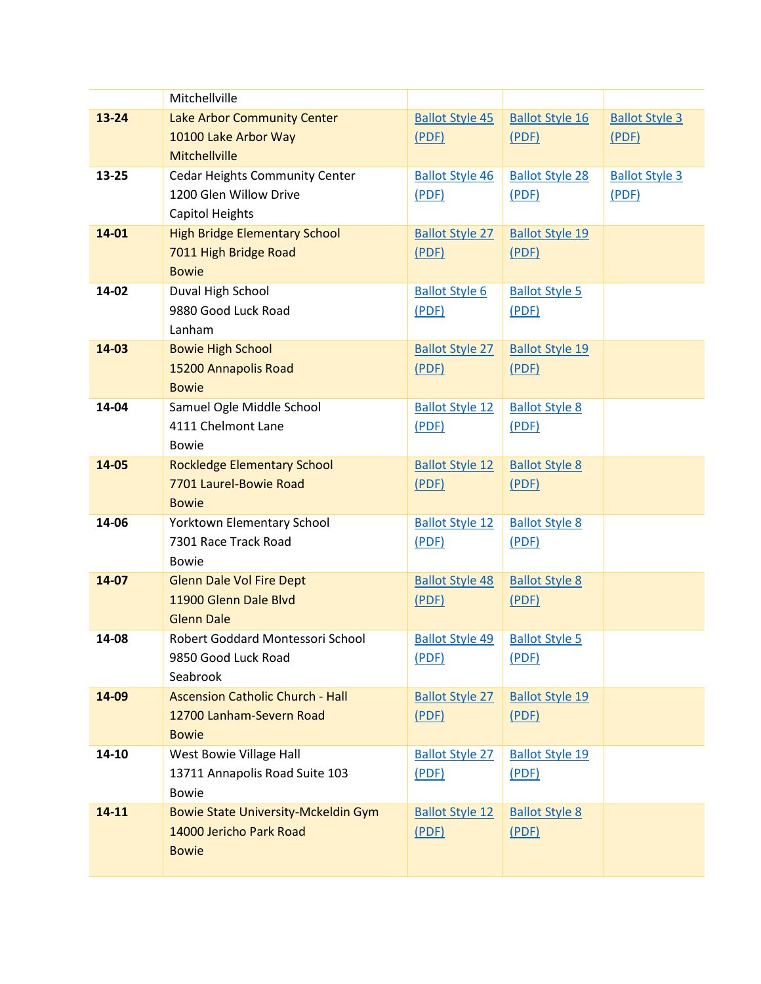|       | Mitchellville                              |                        |                        |                       |
|-------|--------------------------------------------|------------------------|------------------------|-----------------------|
| 13-24 | Lake Arbor Community Center                | <b>Ballot Style 45</b> | <b>Ballot Style 16</b> | <b>Ballot Style 3</b> |
|       | 10100 Lake Arbor Way                       | (PDF)                  | (PDF)                  | (PDF)                 |
|       | Mitchellville                              |                        |                        |                       |
| 13-25 | Cedar Heights Community Center             | <b>Ballot Style 46</b> | <b>Ballot Style 28</b> | <b>Ballot Style 3</b> |
|       | 1200 Glen Willow Drive                     | (PDF)                  | (PDF)                  | (PDF)                 |
|       | Capitol Heights                            |                        |                        |                       |
| 14-01 | <b>High Bridge Elementary School</b>       | <b>Ballot Style 27</b> | <b>Ballot Style 19</b> |                       |
|       | 7011 High Bridge Road                      | (PDF)                  | (PDF)                  |                       |
|       | <b>Bowie</b>                               |                        |                        |                       |
| 14-02 | Duval High School                          | <b>Ballot Style 6</b>  | <b>Ballot Style 5</b>  |                       |
|       | 9880 Good Luck Road                        | (PDF)                  | (PDF)                  |                       |
|       | Lanham                                     |                        |                        |                       |
| 14-03 | <b>Bowie High School</b>                   | <b>Ballot Style 27</b> | <b>Ballot Style 19</b> |                       |
|       | 15200 Annapolis Road                       | (PDF)                  | (PDF)                  |                       |
|       | <b>Bowie</b>                               |                        |                        |                       |
| 14-04 | Samuel Ogle Middle School                  | <b>Ballot Style 12</b> | <b>Ballot Style 8</b>  |                       |
|       | 4111 Chelmont Lane                         | (PDF)                  | (PDF)                  |                       |
|       | <b>Bowie</b>                               |                        |                        |                       |
| 14-05 | <b>Rockledge Elementary School</b>         | <b>Ballot Style 12</b> | <b>Ballot Style 8</b>  |                       |
|       | 7701 Laurel-Bowie Road                     | (PDF)                  | (PDF)                  |                       |
|       | <b>Bowie</b>                               |                        |                        |                       |
| 14-06 | Yorktown Elementary School                 | <b>Ballot Style 12</b> | <b>Ballot Style 8</b>  |                       |
|       | 7301 Race Track Road                       | (PDF)                  | (PDF)                  |                       |
|       | <b>Bowie</b>                               |                        |                        |                       |
| 14-07 | <b>Glenn Dale Vol Fire Dept</b>            | <b>Ballot Style 48</b> | <b>Ballot Style 8</b>  |                       |
|       | 11900 Glenn Dale Blvd                      | (PDF)                  | (PDF)                  |                       |
|       | <b>Glenn Dale</b>                          |                        |                        |                       |
| 14-08 | Robert Goddard Montessori School           | <b>Ballot Style 49</b> | <b>Ballot Style 5</b>  |                       |
|       | 9850 Good Luck Road                        | (PDF)                  | (PDF)                  |                       |
|       | Seabrook                                   |                        |                        |                       |
| 14-09 | <b>Ascension Catholic Church - Hall</b>    | <b>Ballot Style 27</b> | <b>Ballot Style 19</b> |                       |
|       | 12700 Lanham-Severn Road                   | (PDF)                  | (PDF)                  |                       |
|       | <b>Bowie</b>                               |                        |                        |                       |
| 14-10 | West Bowie Village Hall                    | <b>Ballot Style 27</b> | <b>Ballot Style 19</b> |                       |
|       | 13711 Annapolis Road Suite 103             | (PDF)                  | (PDF)                  |                       |
|       | <b>Bowie</b>                               |                        |                        |                       |
| 14-11 | <b>Bowie State University-Mckeldin Gym</b> | <b>Ballot Style 12</b> | <b>Ballot Style 8</b>  |                       |
|       | 14000 Jericho Park Road                    | (PDF)                  | (PDF)                  |                       |
|       | <b>Bowie</b>                               |                        |                        |                       |
|       |                                            |                        |                        |                       |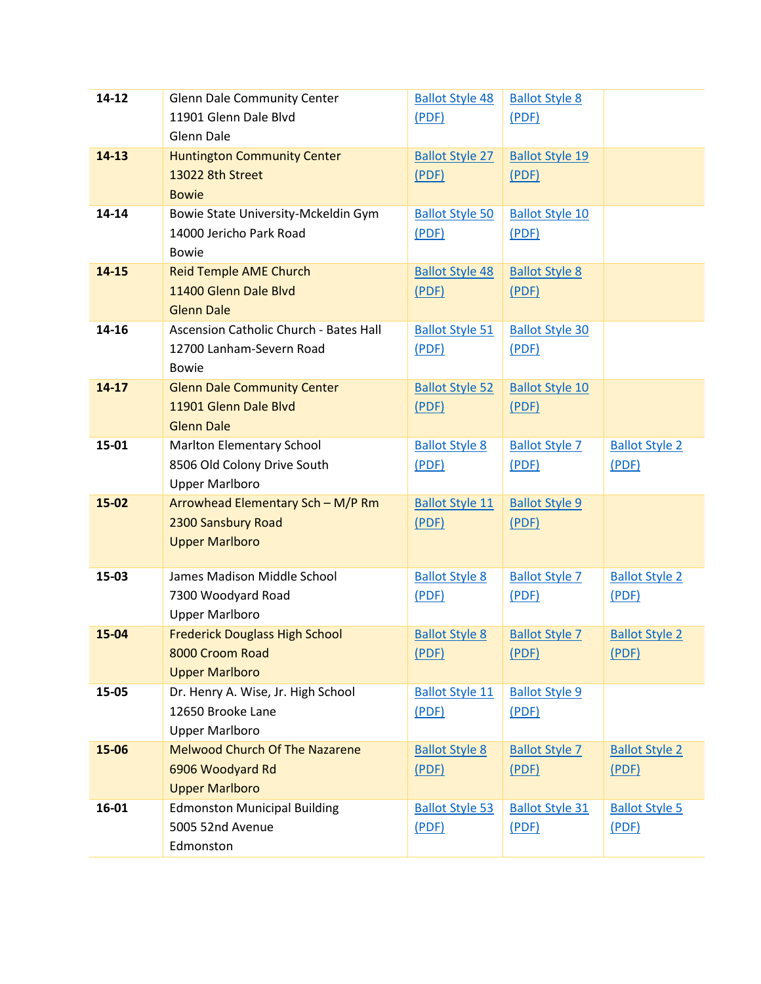| 14-12     | <b>Glenn Dale Community Center</b>     | <b>Ballot Style 48</b> | <b>Ballot Style 8</b>  |                       |
|-----------|----------------------------------------|------------------------|------------------------|-----------------------|
|           | 11901 Glenn Dale Blvd                  | (PDF)                  | (PDF)                  |                       |
|           | <b>Glenn Dale</b>                      |                        |                        |                       |
| $14 - 13$ | <b>Huntington Community Center</b>     | <b>Ballot Style 27</b> | <b>Ballot Style 19</b> |                       |
|           | 13022 8th Street                       | (PDF)                  | (PDF)                  |                       |
|           | <b>Bowie</b>                           |                        |                        |                       |
| 14-14     | Bowie State University-Mckeldin Gym    | <b>Ballot Style 50</b> | <b>Ballot Style 10</b> |                       |
|           | 14000 Jericho Park Road                | (PDF)                  | (PDF)                  |                       |
|           | <b>Bowie</b>                           |                        |                        |                       |
| 14-15     | <b>Reid Temple AME Church</b>          | <b>Ballot Style 48</b> | <b>Ballot Style 8</b>  |                       |
|           | 11400 Glenn Dale Blvd                  | (PDF)                  | (PDF)                  |                       |
|           | <b>Glenn Dale</b>                      |                        |                        |                       |
| 14-16     | Ascension Catholic Church - Bates Hall | <b>Ballot Style 51</b> | <b>Ballot Style 30</b> |                       |
|           | 12700 Lanham-Severn Road               | (PDF)                  | (PDF)                  |                       |
|           | <b>Bowie</b>                           |                        |                        |                       |
| $14 - 17$ | <b>Glenn Dale Community Center</b>     | <b>Ballot Style 52</b> | <b>Ballot Style 10</b> |                       |
|           | 11901 Glenn Dale Blvd                  | (PDF)                  | (PDF)                  |                       |
|           | <b>Glenn Dale</b>                      |                        |                        |                       |
| 15-01     | Marlton Elementary School              | <b>Ballot Style 8</b>  | <b>Ballot Style 7</b>  | <b>Ballot Style 2</b> |
|           | 8506 Old Colony Drive South            | (PDF)                  | (PDF)                  | (PDF)                 |
|           | <b>Upper Marlboro</b>                  |                        |                        |                       |
| 15-02     | Arrowhead Elementary Sch - M/P Rm      | <b>Ballot Style 11</b> | <b>Ballot Style 9</b>  |                       |
|           | 2300 Sansbury Road                     | (PDF)                  | (PDF)                  |                       |
|           | <b>Upper Marlboro</b>                  |                        |                        |                       |
|           |                                        |                        |                        |                       |
| 15-03     | James Madison Middle School            | <b>Ballot Style 8</b>  | <b>Ballot Style 7</b>  | <b>Ballot Style 2</b> |
|           | 7300 Woodyard Road                     | (PDF)                  | (PDF)                  | (PDF)                 |
|           | <b>Upper Marlboro</b>                  |                        |                        |                       |
| 15-04     | <b>Frederick Douglass High School</b>  | <b>Ballot Style 8</b>  | <b>Ballot Style 7</b>  | <b>Ballot Style 2</b> |
|           | 8000 Croom Road                        | (PDF)                  | (PDF)                  | (PDF)                 |
|           | <b>Upper Marlboro</b>                  |                        |                        |                       |
| 15-05     | Dr. Henry A. Wise, Jr. High School     | <b>Ballot Style 11</b> | <b>Ballot Style 9</b>  |                       |
|           | 12650 Brooke Lane                      | (PDF)                  | (PDF)                  |                       |
|           | <b>Upper Marlboro</b>                  |                        |                        |                       |
| 15-06     | <b>Melwood Church Of The Nazarene</b>  | <b>Ballot Style 8</b>  | <b>Ballot Style 7</b>  | <b>Ballot Style 2</b> |
|           | 6906 Woodyard Rd                       | (PDF)                  | (PDF)                  | (PDF)                 |
|           | <b>Upper Marlboro</b>                  |                        |                        |                       |
| 16-01     | <b>Edmonston Municipal Building</b>    | <b>Ballot Style 53</b> | <b>Ballot Style 31</b> | <b>Ballot Style 5</b> |
|           | 5005 52nd Avenue                       | (PDF)                  | (PDF)                  | (PDF)                 |
|           | Edmonston                              |                        |                        |                       |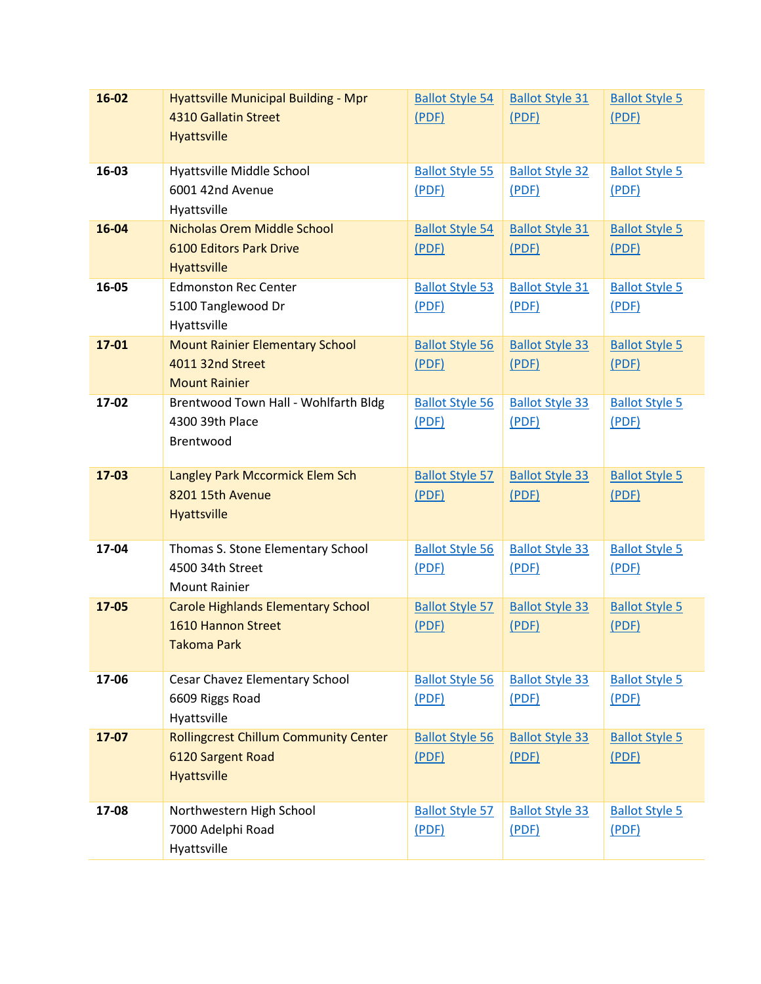| 16-02 | <b>Hyattsville Municipal Building - Mpr</b>         | <b>Ballot Style 54</b> | <b>Ballot Style 31</b> | <b>Ballot Style 5</b> |
|-------|-----------------------------------------------------|------------------------|------------------------|-----------------------|
|       | 4310 Gallatin Street                                | (PDF)                  | (PDF)                  | (PDF)                 |
|       | <b>Hyattsville</b>                                  |                        |                        |                       |
|       |                                                     |                        |                        |                       |
| 16-03 | Hyattsville Middle School                           | <b>Ballot Style 55</b> | <b>Ballot Style 32</b> | <b>Ballot Style 5</b> |
|       | 6001 42nd Avenue                                    | (PDF)                  | (PDF)                  | (PDF)                 |
|       | Hyattsville                                         |                        |                        |                       |
| 16-04 | Nicholas Orem Middle School                         | <b>Ballot Style 54</b> | <b>Ballot Style 31</b> | <b>Ballot Style 5</b> |
|       | <b>6100 Editors Park Drive</b>                      | (PDF)                  | (PDF)                  | (PDF)                 |
|       | Hyattsville                                         |                        |                        |                       |
| 16-05 | <b>Edmonston Rec Center</b>                         | <b>Ballot Style 53</b> | <b>Ballot Style 31</b> | <b>Ballot Style 5</b> |
|       | 5100 Tanglewood Dr                                  | (PDF)                  | (PDF)                  | (PDF)                 |
|       | Hyattsville                                         |                        |                        |                       |
| 17-01 | <b>Mount Rainier Elementary School</b>              | <b>Ballot Style 56</b> | <b>Ballot Style 33</b> | <b>Ballot Style 5</b> |
|       | 4011 32nd Street                                    | (PDF)                  | (PDF)                  | (PDF)                 |
|       | <b>Mount Rainier</b>                                |                        |                        |                       |
| 17-02 | Brentwood Town Hall - Wohlfarth Bldg                | <b>Ballot Style 56</b> | <b>Ballot Style 33</b> | <b>Ballot Style 5</b> |
|       | 4300 39th Place                                     | (PDF)                  | (PDF)                  | (PDF)                 |
|       | Brentwood                                           |                        |                        |                       |
| 17-03 |                                                     |                        |                        |                       |
|       | Langley Park Mccormick Elem Sch<br>8201 15th Avenue | <b>Ballot Style 57</b> | <b>Ballot Style 33</b> | <b>Ballot Style 5</b> |
|       | <b>Hyattsville</b>                                  | (PDF)                  | (PDF)                  | (PDF)                 |
|       |                                                     |                        |                        |                       |
| 17-04 | Thomas S. Stone Elementary School                   | <b>Ballot Style 56</b> | <b>Ballot Style 33</b> | <b>Ballot Style 5</b> |
|       | 4500 34th Street                                    | (PDF)                  | (PDF)                  | (PDF)                 |
|       | <b>Mount Rainier</b>                                |                        |                        |                       |
| 17-05 | <b>Carole Highlands Elementary School</b>           | <b>Ballot Style 57</b> | <b>Ballot Style 33</b> | <b>Ballot Style 5</b> |
|       | 1610 Hannon Street                                  | (PDF)                  | (PDF)                  | (PDF)                 |
|       | Takoma Park                                         |                        |                        |                       |
|       |                                                     |                        |                        |                       |
| 17-06 | Cesar Chavez Elementary School                      | <b>Ballot Style 56</b> | <b>Ballot Style 33</b> | <b>Ballot Style 5</b> |
|       | 6609 Riggs Road                                     | (PDF)                  | (PDF)                  | (PDF)                 |
|       | Hyattsville                                         |                        |                        |                       |
| 17-07 | <b>Rollingcrest Chillum Community Center</b>        | <b>Ballot Style 56</b> | <b>Ballot Style 33</b> | <b>Ballot Style 5</b> |
|       | 6120 Sargent Road                                   | (PDF)                  | (PDF)                  | (PDF)                 |
|       | Hyattsville                                         |                        |                        |                       |
|       |                                                     |                        |                        |                       |
| 17-08 | Northwestern High School                            | <b>Ballot Style 57</b> | <b>Ballot Style 33</b> | <b>Ballot Style 5</b> |
|       | 7000 Adelphi Road                                   | (PDF)                  | (PDF)                  | (PDF)                 |
|       | Hyattsville                                         |                        |                        |                       |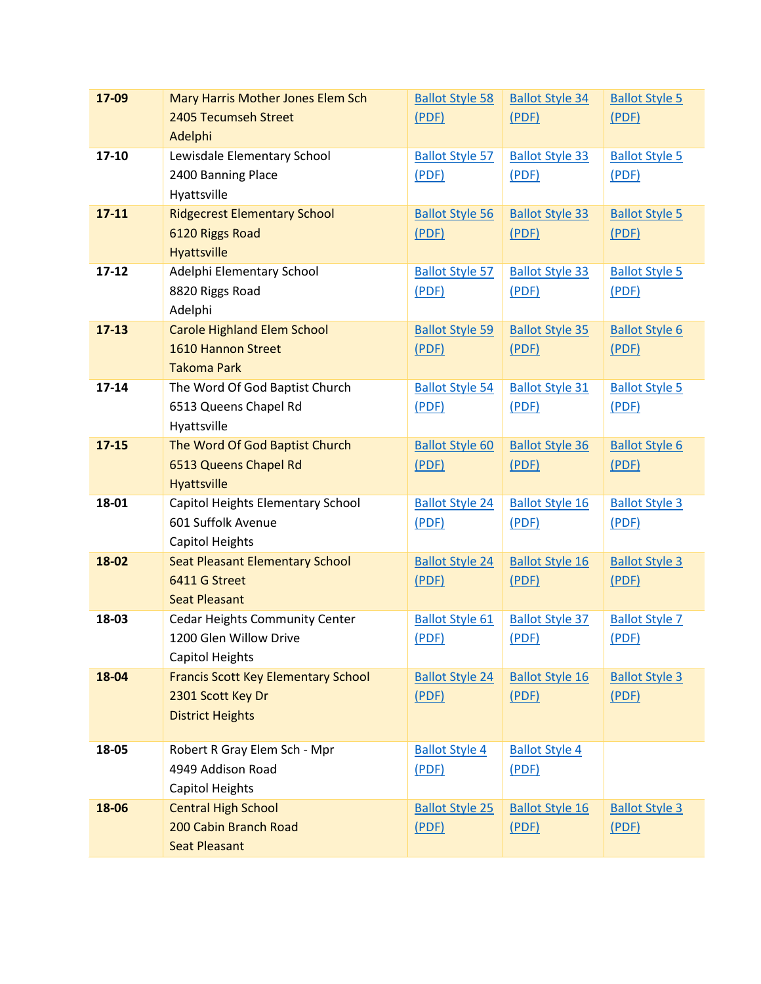| 17-09     | Mary Harris Mother Jones Elem Sch          | <b>Ballot Style 58</b> | <b>Ballot Style 34</b> | <b>Ballot Style 5</b> |
|-----------|--------------------------------------------|------------------------|------------------------|-----------------------|
|           | 2405 Tecumseh Street                       | (PDF)                  | (PDF)                  | (PDF)                 |
|           | Adelphi                                    |                        |                        |                       |
| 17-10     | Lewisdale Elementary School                | <b>Ballot Style 57</b> | <b>Ballot Style 33</b> | <b>Ballot Style 5</b> |
|           | 2400 Banning Place                         | (PDF)                  | (PDF)                  | (PDF)                 |
|           | Hyattsville                                |                        |                        |                       |
| $17 - 11$ | <b>Ridgecrest Elementary School</b>        | <b>Ballot Style 56</b> | <b>Ballot Style 33</b> | <b>Ballot Style 5</b> |
|           | 6120 Riggs Road                            | (PDF)                  | (PDF)                  | (PDF)                 |
|           | Hyattsville                                |                        |                        |                       |
| $17 - 12$ | Adelphi Elementary School                  | <b>Ballot Style 57</b> | <b>Ballot Style 33</b> | <b>Ballot Style 5</b> |
|           | 8820 Riggs Road                            | (PDF)                  | (PDF)                  | (PDF)                 |
|           | Adelphi                                    |                        |                        |                       |
| $17 - 13$ | <b>Carole Highland Elem School</b>         | <b>Ballot Style 59</b> | <b>Ballot Style 35</b> | <b>Ballot Style 6</b> |
|           | 1610 Hannon Street                         | (PDF)                  | (PDF)                  | (PDF)                 |
|           | <b>Takoma Park</b>                         |                        |                        |                       |
| $17 - 14$ | The Word Of God Baptist Church             | <b>Ballot Style 54</b> | <b>Ballot Style 31</b> | <b>Ballot Style 5</b> |
|           | 6513 Queens Chapel Rd                      | (PDF)                  | (PDF)                  | (PDF)                 |
|           | Hyattsville                                |                        |                        |                       |
| $17 - 15$ | The Word Of God Baptist Church             | <b>Ballot Style 60</b> | <b>Ballot Style 36</b> | <b>Ballot Style 6</b> |
|           | 6513 Queens Chapel Rd                      | (PDF)                  | (PDF)                  | (PDF)                 |
|           | Hyattsville                                |                        |                        |                       |
| 18-01     | Capitol Heights Elementary School          | <b>Ballot Style 24</b> | <b>Ballot Style 16</b> | <b>Ballot Style 3</b> |
|           | 601 Suffolk Avenue                         | (PDF)                  | (PDF)                  | (PDF)                 |
|           | Capitol Heights                            |                        |                        |                       |
| 18-02     | <b>Seat Pleasant Elementary School</b>     | <b>Ballot Style 24</b> | <b>Ballot Style 16</b> | <b>Ballot Style 3</b> |
|           | 6411 G Street                              | (PDF)                  | (PDF)                  | (PDF)                 |
|           | <b>Seat Pleasant</b>                       |                        |                        |                       |
| 18-03     | <b>Cedar Heights Community Center</b>      | <b>Ballot Style 61</b> | <b>Ballot Style 37</b> | <b>Ballot Style 7</b> |
|           | 1200 Glen Willow Drive                     | (PDF)                  | (PDF)                  | (PDF)                 |
|           | <b>Capitol Heights</b>                     |                        |                        |                       |
| 18-04     | <b>Francis Scott Key Elementary School</b> | <b>Ballot Style 24</b> | <b>Ballot Style 16</b> | <b>Ballot Style 3</b> |
|           | 2301 Scott Key Dr                          | (PDF)                  | (PDF)                  | (PDF)                 |
|           | <b>District Heights</b>                    |                        |                        |                       |
| 18-05     | Robert R Gray Elem Sch - Mpr               | <b>Ballot Style 4</b>  | <b>Ballot Style 4</b>  |                       |
|           | 4949 Addison Road                          | (PDF)                  | (PDF)                  |                       |
|           | Capitol Heights                            |                        |                        |                       |
| 18-06     | <b>Central High School</b>                 | <b>Ballot Style 25</b> | <b>Ballot Style 16</b> | <b>Ballot Style 3</b> |
|           | 200 Cabin Branch Road                      | (PDF)                  | (PDF)                  | (PDF)                 |
|           | <b>Seat Pleasant</b>                       |                        |                        |                       |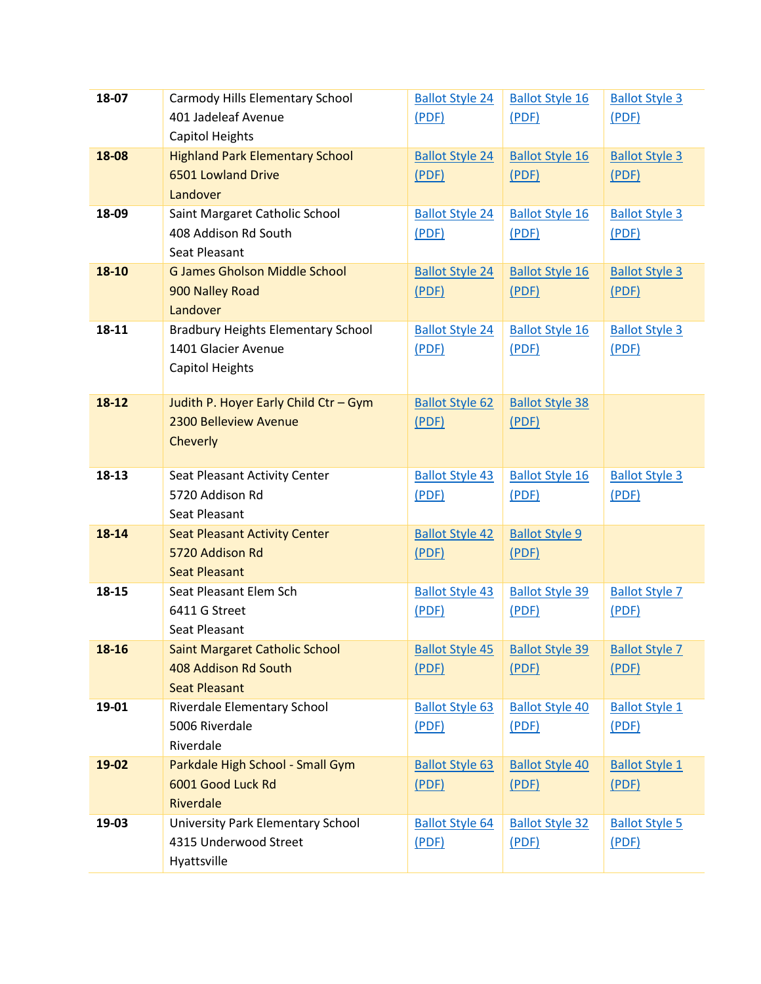| 18-07 | Carmody Hills Elementary School           | <b>Ballot Style 24</b> | <b>Ballot Style 16</b>                             | <b>Ballot Style 3</b> |
|-------|-------------------------------------------|------------------------|----------------------------------------------------|-----------------------|
|       | 401 Jadeleaf Avenue                       | (PDF)                  | (PDF)                                              | (PDF)                 |
|       | Capitol Heights                           |                        |                                                    |                       |
| 18-08 | <b>Highland Park Elementary School</b>    | <b>Ballot Style 24</b> | <b>Ballot Style 16</b>                             | <b>Ballot Style 3</b> |
|       | 6501 Lowland Drive                        | (PDF)                  | (PDF)                                              | (PDF)                 |
|       | Landover                                  |                        |                                                    |                       |
| 18-09 | Saint Margaret Catholic School            | <b>Ballot Style 24</b> | <b>Ballot Style 16</b>                             | <b>Ballot Style 3</b> |
|       | 408 Addison Rd South                      | (PDF)                  | (PDF)                                              | (PDF)                 |
|       | Seat Pleasant                             |                        |                                                    |                       |
| 18-10 | <b>G James Gholson Middle School</b>      | <b>Ballot Style 24</b> | <b>Ballot Style 16</b>                             | <b>Ballot Style 3</b> |
|       | 900 Nalley Road                           | (PDF)                  | (PDF)                                              | (PDF)                 |
|       | Landover                                  |                        |                                                    |                       |
| 18-11 | <b>Bradbury Heights Elementary School</b> | <b>Ballot Style 24</b> | <b>Ballot Style 16</b>                             | <b>Ballot Style 3</b> |
|       | 1401 Glacier Avenue                       | (PDF)                  | (PDF)                                              | (PDF)                 |
|       | <b>Capitol Heights</b>                    |                        |                                                    |                       |
|       |                                           |                        |                                                    |                       |
| 18-12 | Judith P. Hoyer Early Child Ctr - Gym     | <b>Ballot Style 62</b> | <b>Ballot Style 38</b>                             |                       |
|       | 2300 Belleview Avenue                     | (PDF)                  | (PDF)                                              |                       |
|       | Cheverly                                  |                        |                                                    |                       |
|       |                                           |                        |                                                    |                       |
| 18-13 | Seat Pleasant Activity Center             | <b>Ballot Style 43</b> | <b>Ballot Style 16</b>                             | <b>Ballot Style 3</b> |
|       | 5720 Addison Rd                           | (PDF)                  | (PDF)                                              | (PDF)                 |
|       | Seat Pleasant                             |                        |                                                    |                       |
| 18-14 | <b>Seat Pleasant Activity Center</b>      | <b>Ballot Style 42</b> | <b>Ballot Style 9</b>                              |                       |
|       | 5720 Addison Rd                           | (PDF)                  | (PDF)                                              |                       |
|       | <b>Seat Pleasant</b>                      |                        |                                                    |                       |
| 18-15 | Seat Pleasant Elem Sch                    | <b>Ballot Style 43</b> | <b>Ballot Style 39</b>                             | <b>Ballot Style 7</b> |
|       | 6411 G Street                             | (PDF)                  | (PDF)                                              | (PDF)                 |
|       | Seat Pleasant                             |                        |                                                    |                       |
| 18-16 | <b>Saint Margaret Catholic School</b>     |                        | Ballot Style 45   Ballot Style 39   Ballot Style 7 |                       |
|       | 408 Addison Rd South                      | (PDF)                  | (PDF)                                              | (PDF)                 |
|       | <b>Seat Pleasant</b>                      |                        |                                                    |                       |
| 19-01 | Riverdale Elementary School               | <b>Ballot Style 63</b> | <b>Ballot Style 40</b>                             | <b>Ballot Style 1</b> |
|       | 5006 Riverdale                            | (PDF)                  | (PDF)                                              | (PDF)                 |
|       | Riverdale                                 |                        |                                                    |                       |
| 19-02 | Parkdale High School - Small Gym          | <b>Ballot Style 63</b> | <b>Ballot Style 40</b>                             | <b>Ballot Style 1</b> |
|       | 6001 Good Luck Rd                         | (PDF)                  | (PDF)                                              | (PDF)                 |
|       | Riverdale                                 |                        |                                                    |                       |
| 19-03 | University Park Elementary School         | <b>Ballot Style 64</b> | <b>Ballot Style 32</b>                             | <b>Ballot Style 5</b> |
|       | 4315 Underwood Street                     | (PDF)                  | (PDF)                                              | (PDF)                 |
|       | Hyattsville                               |                        |                                                    |                       |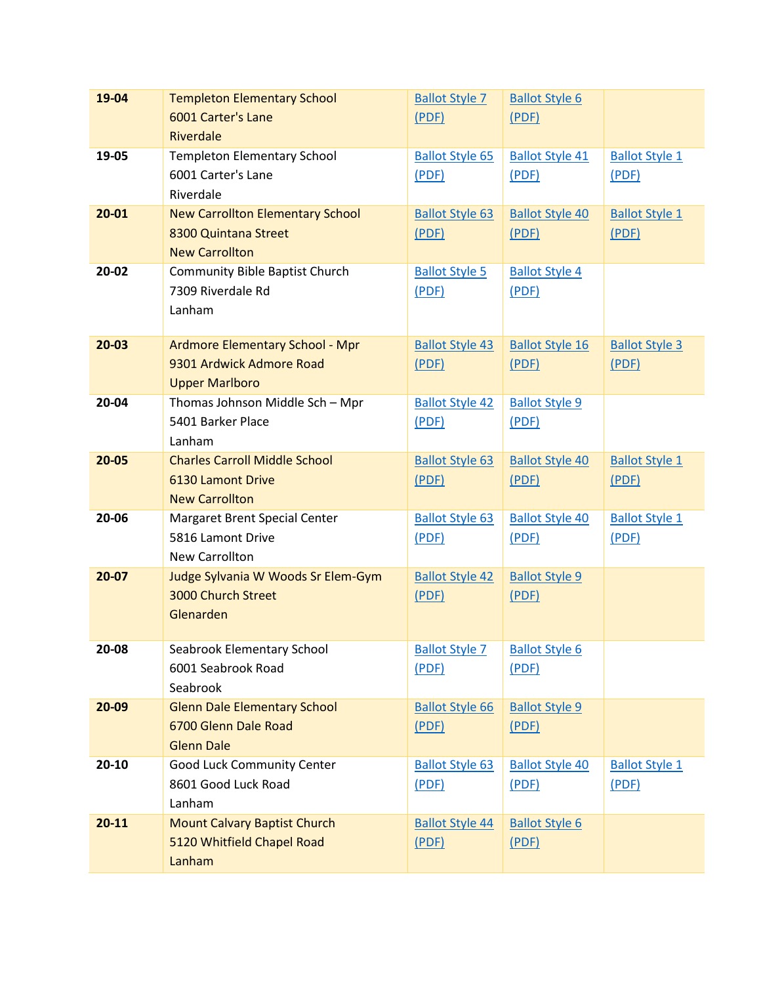| 19-04     | <b>Templeton Elementary School</b>                                 | <b>Ballot Style 7</b>           | <b>Ballot Style 6</b>          |                       |
|-----------|--------------------------------------------------------------------|---------------------------------|--------------------------------|-----------------------|
|           | 6001 Carter's Lane                                                 | (PDF)                           | (PDF)                          |                       |
|           | Riverdale                                                          |                                 |                                |                       |
| 19-05     | <b>Templeton Elementary School</b>                                 | <b>Ballot Style 65</b>          | <b>Ballot Style 41</b>         | <b>Ballot Style 1</b> |
|           | 6001 Carter's Lane                                                 | (PDF)                           | (PDF)                          | (PDF)                 |
|           | Riverdale                                                          |                                 |                                |                       |
| $20 - 01$ | <b>New Carrollton Elementary School</b>                            | <b>Ballot Style 63</b>          | <b>Ballot Style 40</b>         | <b>Ballot Style 1</b> |
|           | 8300 Quintana Street                                               | (PDF)                           | (PDF)                          | (PDF)                 |
|           | <b>New Carrollton</b>                                              |                                 |                                |                       |
| 20-02     | <b>Community Bible Baptist Church</b>                              | <b>Ballot Style 5</b>           | <b>Ballot Style 4</b>          |                       |
|           | 7309 Riverdale Rd                                                  | (PDF)                           | (PDF)                          |                       |
|           | Lanham                                                             |                                 |                                |                       |
|           |                                                                    |                                 |                                |                       |
| $20 - 03$ | <b>Ardmore Elementary School - Mpr</b><br>9301 Ardwick Admore Road | <b>Ballot Style 43</b>          | <b>Ballot Style 16</b>         | <b>Ballot Style 3</b> |
|           | <b>Upper Marlboro</b>                                              | (PDF)                           | (PDF)                          | (PDF)                 |
| 20-04     | Thomas Johnson Middle Sch - Mpr                                    | <b>Ballot Style 42</b>          | <b>Ballot Style 9</b>          |                       |
|           | 5401 Barker Place                                                  | (PDF)                           | (PDF)                          |                       |
|           | Lanham                                                             |                                 |                                |                       |
| $20 - 05$ | <b>Charles Carroll Middle School</b>                               | <b>Ballot Style 63</b>          | <b>Ballot Style 40</b>         | <b>Ballot Style 1</b> |
|           | <b>6130 Lamont Drive</b>                                           | (PDF)                           | (PDF)                          | (PDF)                 |
|           | <b>New Carrollton</b>                                              |                                 |                                |                       |
| 20-06     | Margaret Brent Special Center                                      | <b>Ballot Style 63</b>          | <b>Ballot Style 40</b>         | <b>Ballot Style 1</b> |
|           | 5816 Lamont Drive                                                  | (PDF)                           | (PDF)                          | (PDF)                 |
|           | New Carrollton                                                     |                                 |                                |                       |
| $20 - 07$ | Judge Sylvania W Woods Sr Elem-Gym                                 | <b>Ballot Style 42</b>          | <b>Ballot Style 9</b>          |                       |
|           | 3000 Church Street                                                 | (PDF)                           | (PDF)                          |                       |
|           | Glenarden                                                          |                                 |                                |                       |
|           |                                                                    |                                 |                                |                       |
| 20-08     | Seabrook Elementary School                                         | <b>Ballot Style 7</b>           | <b>Ballot Style 6</b>          |                       |
|           | 6001 Seabrook Road                                                 | (PDF)                           | (PDF)                          |                       |
|           | Seabrook                                                           |                                 |                                |                       |
| 20-09     | <b>Glenn Dale Elementary School</b>                                | <b>Ballot Style 66</b>          | <b>Ballot Style 9</b>          |                       |
|           | 6700 Glenn Dale Road                                               | (PDF)                           | (PDF)                          |                       |
|           | <b>Glenn Dale</b>                                                  |                                 |                                |                       |
| $20 - 10$ | Good Luck Community Center<br>8601 Good Luck Road                  | <b>Ballot Style 63</b>          | <b>Ballot Style 40</b>         | <b>Ballot Style 1</b> |
|           |                                                                    | (PDF)                           | (PDF)                          | (PDF)                 |
| $20 - 11$ | Lanham<br><b>Mount Calvary Baptist Church</b>                      |                                 |                                |                       |
|           | 5120 Whitfield Chapel Road                                         | <b>Ballot Style 44</b><br>(PDF) | <b>Ballot Style 6</b><br>(PDF) |                       |
|           | Lanham                                                             |                                 |                                |                       |
|           |                                                                    |                                 |                                |                       |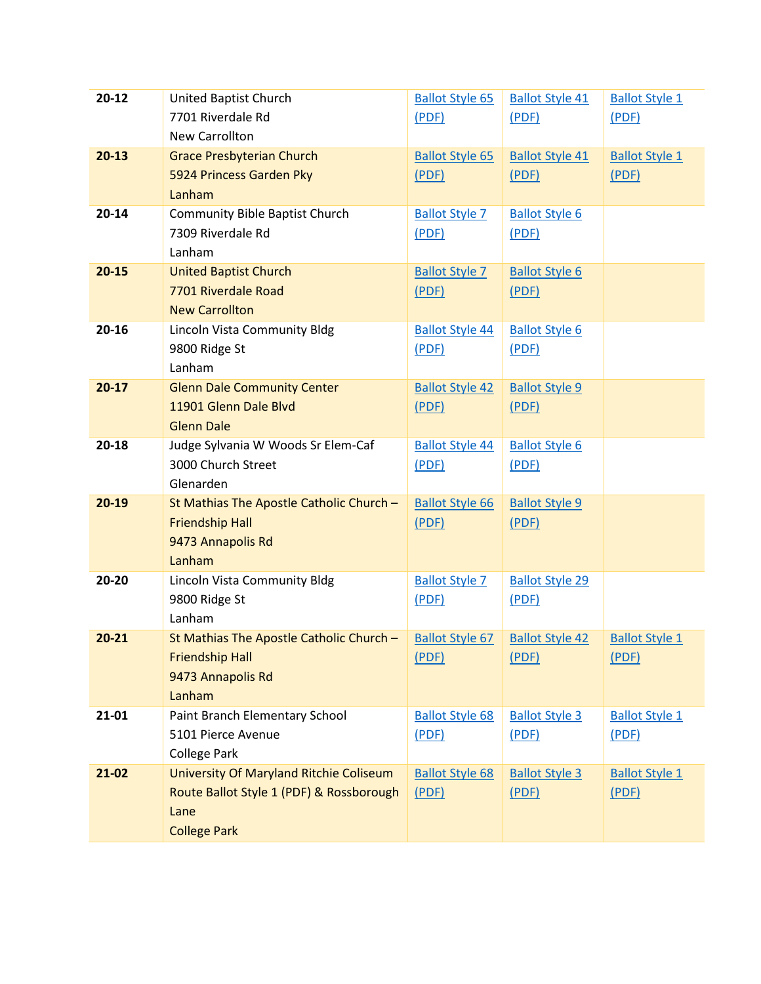| $20 - 12$ | United Baptist Church<br>7701 Riverdale Rd<br><b>New Carrollton</b>                                                | <b>Ballot Style 65</b><br>(PDF) | <b>Ballot Style 41</b><br>(PDF) | <b>Ballot Style 1</b><br>(PDF) |
|-----------|--------------------------------------------------------------------------------------------------------------------|---------------------------------|---------------------------------|--------------------------------|
| $20-13$   | <b>Grace Presbyterian Church</b><br>5924 Princess Garden Pky<br>Lanham                                             | <b>Ballot Style 65</b><br>(PDF) | <b>Ballot Style 41</b><br>(PDF) | <b>Ballot Style 1</b><br>(PDF) |
| $20 - 14$ | <b>Community Bible Baptist Church</b><br>7309 Riverdale Rd<br>Lanham                                               | <b>Ballot Style 7</b><br>(PDF)  | <b>Ballot Style 6</b><br>(PDF)  |                                |
| $20 - 15$ | <b>United Baptist Church</b><br>7701 Riverdale Road<br><b>New Carrollton</b>                                       | <b>Ballot Style 7</b><br>(PDF)  | <b>Ballot Style 6</b><br>(PDF)  |                                |
| 20-16     | Lincoln Vista Community Bldg<br>9800 Ridge St<br>Lanham                                                            | <b>Ballot Style 44</b><br>(PDF) | <b>Ballot Style 6</b><br>(PDF)  |                                |
| $20-17$   | <b>Glenn Dale Community Center</b><br>11901 Glenn Dale Blvd<br><b>Glenn Dale</b>                                   | <b>Ballot Style 42</b><br>(PDF) | <b>Ballot Style 9</b><br>(PDF)  |                                |
| $20-18$   | Judge Sylvania W Woods Sr Elem-Caf<br>3000 Church Street<br>Glenarden                                              | <b>Ballot Style 44</b><br>(PDF) | <b>Ballot Style 6</b><br>(PDF)  |                                |
| $20-19$   | St Mathias The Apostle Catholic Church -<br><b>Friendship Hall</b><br>9473 Annapolis Rd<br>Lanham                  | <b>Ballot Style 66</b><br>(PDF) | <b>Ballot Style 9</b><br>(PDF)  |                                |
| 20-20     | Lincoln Vista Community Bldg<br>9800 Ridge St<br>Lanham                                                            | <b>Ballot Style 7</b><br>(PDF)  | <b>Ballot Style 29</b><br>(PDF) |                                |
| $20 - 21$ | St Mathias The Apostle Catholic Church -<br><b>Friendship Hall</b><br>9473 Annapolis Rd<br>Lanham                  | <b>Ballot Style 67</b><br>(PDF) | <b>Ballot Style 42</b><br>(PDF) | <b>Ballot Style 1</b><br>(PDF) |
| 21-01     | Paint Branch Elementary School<br>5101 Pierce Avenue<br><b>College Park</b>                                        | <b>Ballot Style 68</b><br>(PDF) | <b>Ballot Style 3</b><br>(PDF)  | <b>Ballot Style 1</b><br>(PDF) |
| $21-02$   | University Of Maryland Ritchie Coliseum<br>Route Ballot Style 1 (PDF) & Rossborough<br>Lane<br><b>College Park</b> | <b>Ballot Style 68</b><br>(PDF) | <b>Ballot Style 3</b><br>(PDF)  | <b>Ballot Style 1</b><br>(PDF) |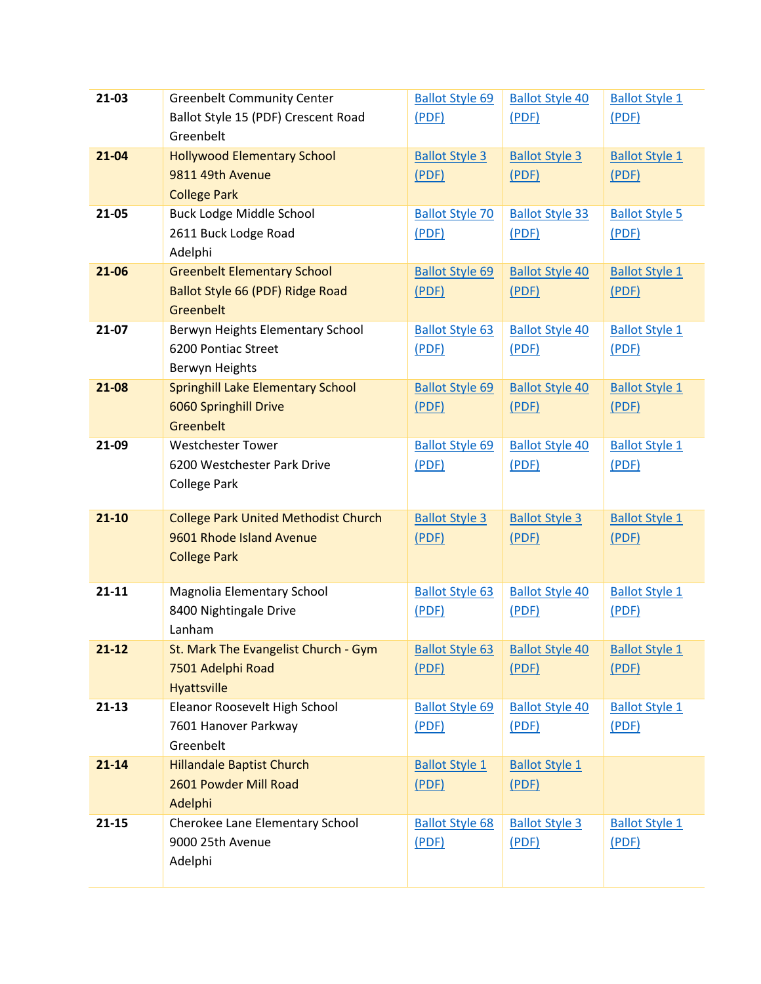| 21-03     | <b>Greenbelt Community Center</b>           | <b>Ballot Style 69</b> | <b>Ballot Style 40</b>                             | <b>Ballot Style 1</b> |
|-----------|---------------------------------------------|------------------------|----------------------------------------------------|-----------------------|
|           | Ballot Style 15 (PDF) Crescent Road         | (PDF)                  | (PDF)                                              | (PDF)                 |
|           | Greenbelt                                   |                        |                                                    |                       |
| 21-04     | <b>Hollywood Elementary School</b>          | <b>Ballot Style 3</b>  | <b>Ballot Style 3</b>                              | <b>Ballot Style 1</b> |
|           | 9811 49th Avenue                            | (PDF)                  | (PDF)                                              | (PDF)                 |
|           | <b>College Park</b>                         |                        |                                                    |                       |
| 21-05     | <b>Buck Lodge Middle School</b>             | <b>Ballot Style 70</b> | <b>Ballot Style 33</b>                             | <b>Ballot Style 5</b> |
|           | 2611 Buck Lodge Road                        | (PDF)                  | (PDF)                                              | (PDF)                 |
|           | Adelphi                                     |                        |                                                    |                       |
| 21-06     | <b>Greenbelt Elementary School</b>          | <b>Ballot Style 69</b> | <b>Ballot Style 40</b>                             | <b>Ballot Style 1</b> |
|           | Ballot Style 66 (PDF) Ridge Road            | (PDF)                  | (PDF)                                              | (PDF)                 |
|           | Greenbelt                                   |                        |                                                    |                       |
| 21-07     | Berwyn Heights Elementary School            | <b>Ballot Style 63</b> | <b>Ballot Style 40</b>                             | <b>Ballot Style 1</b> |
|           | 6200 Pontiac Street                         | (PDF)                  | (PDF)                                              | (PDF)                 |
|           | Berwyn Heights                              |                        |                                                    |                       |
| 21-08     | <b>Springhill Lake Elementary School</b>    | <b>Ballot Style 69</b> | <b>Ballot Style 40</b>                             | <b>Ballot Style 1</b> |
|           | 6060 Springhill Drive                       | (PDF)                  | (PDF)                                              | (PDF)                 |
|           | Greenbelt                                   |                        |                                                    |                       |
| 21-09     | <b>Westchester Tower</b>                    | <b>Ballot Style 69</b> | <b>Ballot Style 40</b>                             | <b>Ballot Style 1</b> |
|           | 6200 Westchester Park Drive                 | (PDF)                  | (PDF)                                              | (PDF)                 |
|           | <b>College Park</b>                         |                        |                                                    |                       |
|           |                                             |                        |                                                    |                       |
| $21 - 10$ | <b>College Park United Methodist Church</b> | <b>Ballot Style 3</b>  | <b>Ballot Style 3</b>                              | <b>Ballot Style 1</b> |
|           | 9601 Rhode Island Avenue                    | (PDF)                  | (PDF)                                              | (PDF)                 |
|           | <b>College Park</b>                         |                        |                                                    |                       |
|           |                                             |                        |                                                    |                       |
| $21 - 11$ | Magnolia Elementary School                  | <b>Ballot Style 63</b> | <b>Ballot Style 40</b>                             | <b>Ballot Style 1</b> |
|           | 8400 Nightingale Drive                      | (PDF)                  | (PDF)                                              | (PDF)                 |
|           | Lanham                                      |                        |                                                    |                       |
| $21 - 12$ | St. Mark The Evangelist Church - Gym        |                        | Ballot Style 63   Ballot Style 40   Ballot Style 1 |                       |
|           | 7501 Adelphi Road                           | (PDF)                  | (PDF)                                              | (PDF)                 |
|           | Hyattsville                                 |                        |                                                    |                       |
| $21-13$   | Eleanor Roosevelt High School               | <b>Ballot Style 69</b> | <b>Ballot Style 40</b>                             | <b>Ballot Style 1</b> |
|           | 7601 Hanover Parkway                        | (PDF)                  | (PDF)                                              | (PDF)                 |
|           | Greenbelt                                   |                        |                                                    |                       |
| $21 - 14$ | <b>Hillandale Baptist Church</b>            | <b>Ballot Style 1</b>  | <b>Ballot Style 1</b>                              |                       |
|           | 2601 Powder Mill Road                       | (PDF)                  | (PDF)                                              |                       |
|           | Adelphi                                     |                        |                                                    |                       |
| $21 - 15$ | Cherokee Lane Elementary School             | <b>Ballot Style 68</b> | <b>Ballot Style 3</b>                              | <b>Ballot Style 1</b> |
|           | 9000 25th Avenue                            | (PDF)                  | (PDF)                                              | (PDF)                 |
|           | Adelphi                                     |                        |                                                    |                       |
|           |                                             |                        |                                                    |                       |